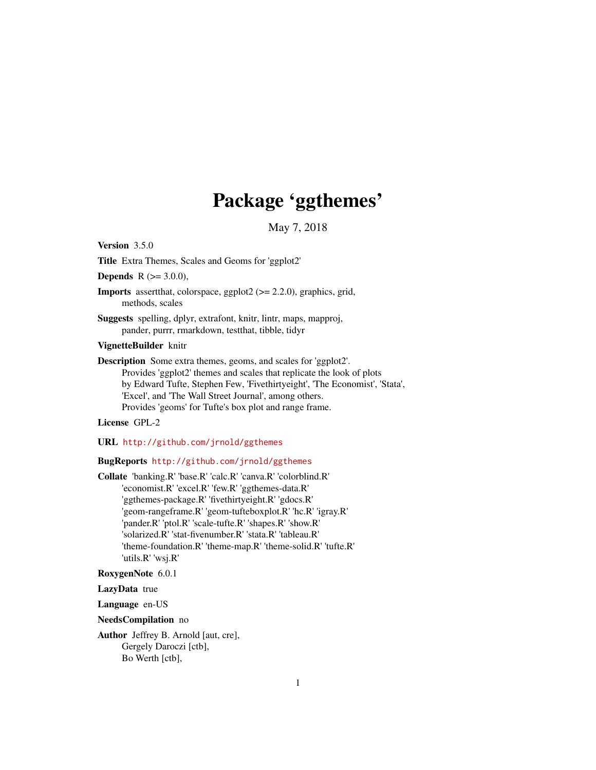## Package 'ggthemes'

May 7, 2018

<span id="page-0-0"></span>Version 3.5.0

Title Extra Themes, Scales and Geoms for 'ggplot2'

**Depends** R  $(>= 3.0.0)$ ,

Imports assertthat, colorspace, ggplot2 (>= 2.2.0), graphics, grid, methods, scales

Suggests spelling, dplyr, extrafont, knitr, lintr, maps, mapproj, pander, purrr, rmarkdown, testthat, tibble, tidyr

VignetteBuilder knitr

Description Some extra themes, geoms, and scales for 'ggplot2'. Provides 'ggplot2' themes and scales that replicate the look of plots by Edward Tufte, Stephen Few, 'Fivethirtyeight', 'The Economist', 'Stata', 'Excel', and 'The Wall Street Journal', among others. Provides 'geoms' for Tufte's box plot and range frame.

License GPL-2

URL <http://github.com/jrnold/ggthemes>

BugReports <http://github.com/jrnold/ggthemes>

Collate 'banking.R' 'base.R' 'calc.R' 'canva.R' 'colorblind.R' 'economist.R' 'excel.R' 'few.R' 'ggthemes-data.R' 'ggthemes-package.R' 'fivethirtyeight.R' 'gdocs.R' 'geom-rangeframe.R' 'geom-tufteboxplot.R' 'hc.R' 'igray.R' 'pander.R' 'ptol.R' 'scale-tufte.R' 'shapes.R' 'show.R' 'solarized.R' 'stat-fivenumber.R' 'stata.R' 'tableau.R' 'theme-foundation.R' 'theme-map.R' 'theme-solid.R' 'tufte.R' 'utils.R' 'wsj.R'

RoxygenNote 6.0.1

LazyData true

Language en-US

NeedsCompilation no

Author Jeffrey B. Arnold [aut, cre], Gergely Daroczi [ctb], Bo Werth [ctb],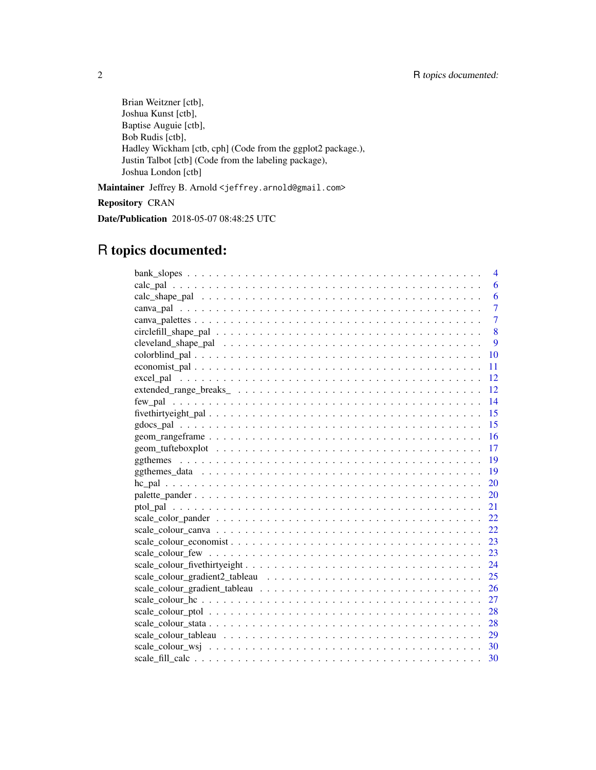Brian Weitzner [ctb], Joshua Kunst [ctb], Baptise Auguie [ctb], Bob Rudis [ctb], Hadley Wickham [ctb, cph] (Code from the ggplot2 package.), Justin Talbot [ctb] (Code from the labeling package), Joshua London [ctb]

Maintainer Jeffrey B. Arnold <jeffrey.arnold@gmail.com>

Repository CRAN

Date/Publication 2018-05-07 08:48:25 UTC

## R topics documented:

| 4              |
|----------------|
| 6              |
| 6              |
| $\overline{7}$ |
| $\overline{7}$ |
| 8              |
| 9              |
| 10             |
| 11             |
| 12             |
| 12             |
| 14             |
| 15             |
|                |
| -16            |
| -17            |
| 19             |
| 19             |
| 20             |
| 20             |
| 21             |
| 22             |
| 22             |
| 23             |
|                |
|                |
| 25             |
| 26             |
| 27             |
| 28             |
| 28             |
|                |
|                |
|                |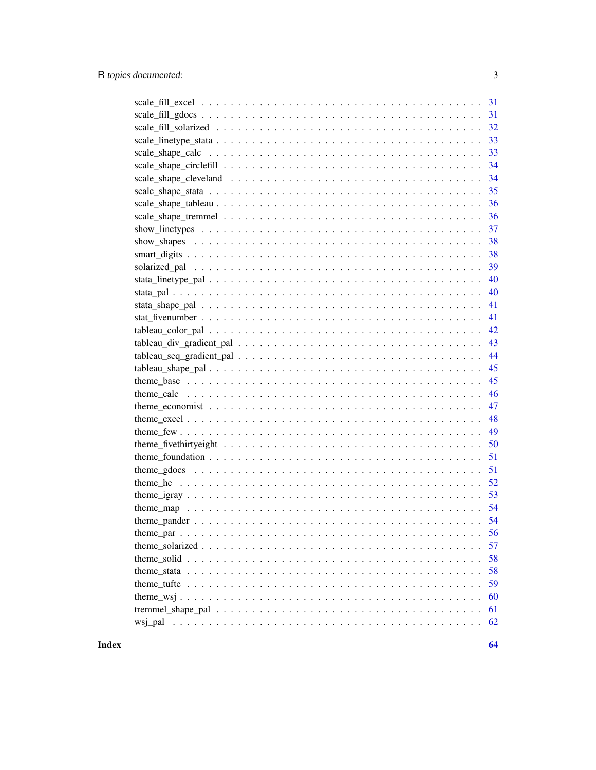|                                                                                                                         | 33 |
|-------------------------------------------------------------------------------------------------------------------------|----|
|                                                                                                                         | 33 |
|                                                                                                                         | 34 |
|                                                                                                                         | 34 |
|                                                                                                                         | 35 |
|                                                                                                                         | 36 |
|                                                                                                                         | 36 |
|                                                                                                                         | 37 |
|                                                                                                                         | 38 |
|                                                                                                                         | 38 |
|                                                                                                                         | 39 |
|                                                                                                                         | 40 |
|                                                                                                                         | 40 |
|                                                                                                                         | 41 |
|                                                                                                                         | 41 |
|                                                                                                                         | 42 |
|                                                                                                                         | 43 |
|                                                                                                                         | 44 |
|                                                                                                                         | 45 |
|                                                                                                                         | 45 |
|                                                                                                                         | 46 |
|                                                                                                                         | 47 |
|                                                                                                                         | 48 |
|                                                                                                                         | 49 |
| theme_fivethirtyeight $\dots \dots \dots \dots \dots \dots \dots \dots \dots \dots \dots \dots \dots \dots \dots \dots$ | 50 |
|                                                                                                                         | 51 |
|                                                                                                                         | 51 |
|                                                                                                                         | 52 |
|                                                                                                                         | 53 |
|                                                                                                                         | 54 |
|                                                                                                                         |    |
|                                                                                                                         |    |
|                                                                                                                         | 57 |
|                                                                                                                         | 58 |
|                                                                                                                         | 58 |
|                                                                                                                         | 59 |
|                                                                                                                         | 60 |
|                                                                                                                         | 61 |
|                                                                                                                         | 62 |
|                                                                                                                         |    |

**Index**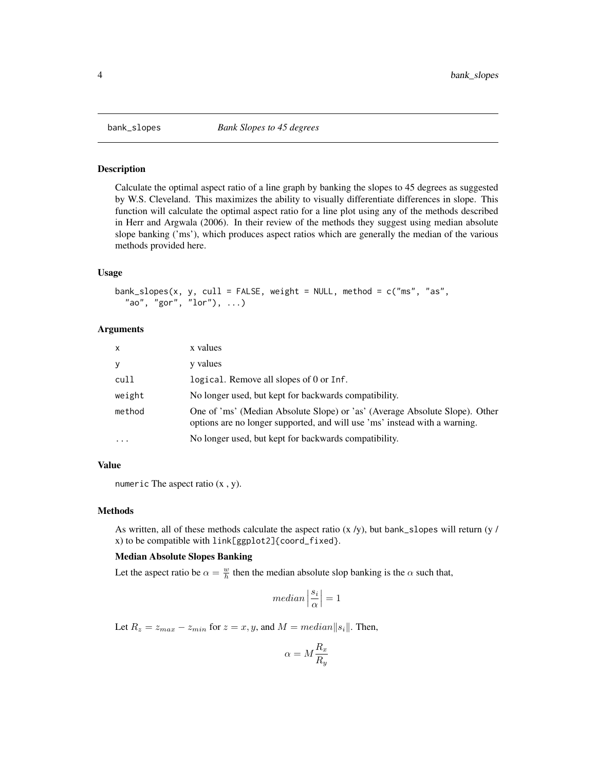<span id="page-3-0"></span>

#### Description

Calculate the optimal aspect ratio of a line graph by banking the slopes to 45 degrees as suggested by W.S. Cleveland. This maximizes the ability to visually differentiate differences in slope. This function will calculate the optimal aspect ratio for a line plot using any of the methods described in Herr and Argwala (2006). In their review of the methods they suggest using median absolute slope banking ('ms'), which produces aspect ratios which are generally the median of the various methods provided here.

#### Usage

```
bank_slopes(x, y, cull = FALSE, weight = NULL, method = c("ms", "as",
  "ao", "gor", "1or"), ...)
```
## Arguments

| $\mathsf{x}$ | x values                                                                                                                                                  |
|--------------|-----------------------------------------------------------------------------------------------------------------------------------------------------------|
| y            | y values                                                                                                                                                  |
| cull         | logical. Remove all slopes of 0 or Inf.                                                                                                                   |
| weight       | No longer used, but kept for backwards compatibility.                                                                                                     |
| method       | One of 'ms' (Median Absolute Slope) or 'as' (Average Absolute Slope). Other<br>options are no longer supported, and will use 'ms' instead with a warning. |
| $\ddotsc$    | No longer used, but kept for backwards compatibility.                                                                                                     |

## Value

numeric The aspect ratio (x , y).

#### Methods

As written, all of these methods calculate the aspect ratio  $(x / y)$ , but bank\_slopes will return (y / x) to be compatible with link[ggplot2]{coord\_fixed}.

## Median Absolute Slopes Banking

Let the aspect ratio be  $\alpha = \frac{w}{h}$  then the median absolute slop banking is the  $\alpha$  such that,

$$
median\left|\frac{s_i}{\alpha}\right|=1
$$

Let  $R_z = z_{max} - z_{min}$  for  $z = x, y$ , and  $M = median||s_i||$ . Then,

$$
\alpha=M\frac{R_x}{R_y}
$$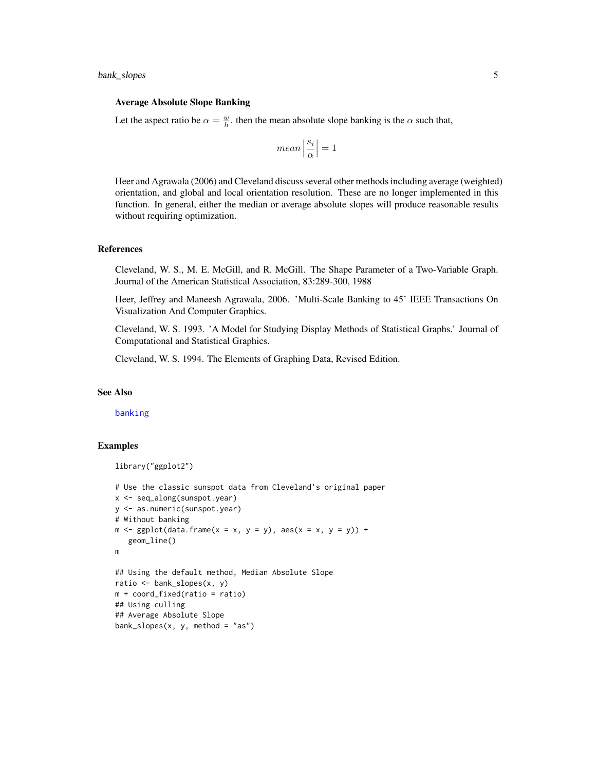#### <span id="page-4-0"></span>Average Absolute Slope Banking

Let the aspect ratio be  $\alpha = \frac{w}{h}$ , then the mean absolute slope banking is the  $\alpha$  such that,

$$
mean\left|\frac{s_i}{\alpha}\right|=1
$$

Heer and Agrawala (2006) and Cleveland discuss several other methods including average (weighted) orientation, and global and local orientation resolution. These are no longer implemented in this function. In general, either the median or average absolute slopes will produce reasonable results without requiring optimization.

#### References

Cleveland, W. S., M. E. McGill, and R. McGill. The Shape Parameter of a Two-Variable Graph. Journal of the American Statistical Association, 83:289-300, 1988

Heer, Jeffrey and Maneesh Agrawala, 2006. 'Multi-Scale Banking to 45' IEEE Transactions On Visualization And Computer Graphics.

Cleveland, W. S. 1993. 'A Model for Studying Display Methods of Statistical Graphs.' Journal of Computational and Statistical Graphics.

Cleveland, W. S. 1994. The Elements of Graphing Data, Revised Edition.

#### See Also

[banking](#page-0-0)

```
library("ggplot2")
# Use the classic sunspot data from Cleveland's original paper
x <- seq_along(sunspot.year)
y <- as.numeric(sunspot.year)
# Without banking
m \leq - ggplot(data.frame(x = x, y = y), aes(x = x, y = y)) +
   geom_line()
m
## Using the default method, Median Absolute Slope
ratio <- bank_slopes(x, y)
m + coord_fixed(ratio = ratio)
## Using culling
## Average Absolute Slope
bank_slopes(x, y, method = "as")
```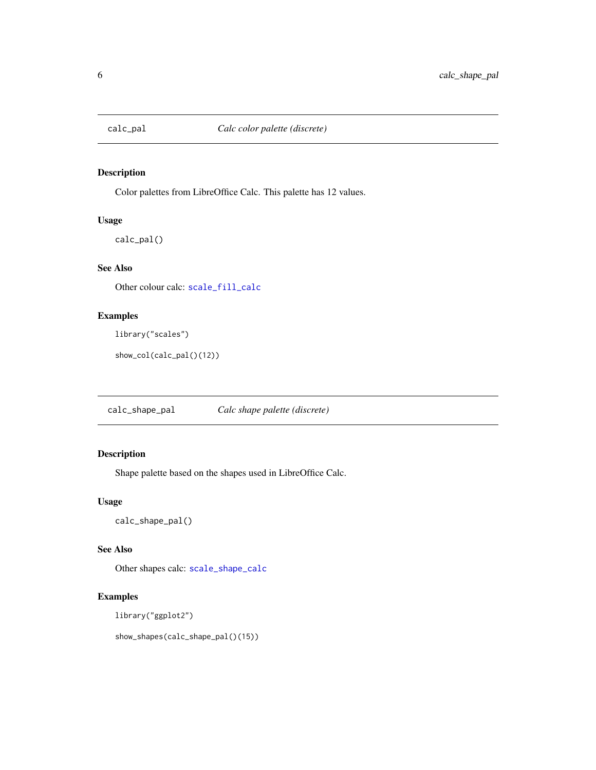<span id="page-5-1"></span><span id="page-5-0"></span>

## Description

Color palettes from LibreOffice Calc. This palette has 12 values.

## Usage

calc\_pal()

## See Also

Other colour calc: [scale\\_fill\\_calc](#page-29-1)

## Examples

library("scales")

show\_col(calc\_pal()(12))

<span id="page-5-2"></span>calc\_shape\_pal *Calc shape palette (discrete)*

## Description

Shape palette based on the shapes used in LibreOffice Calc.

## Usage

calc\_shape\_pal()

#### See Also

Other shapes calc: [scale\\_shape\\_calc](#page-32-1)

## Examples

library("ggplot2")

show\_shapes(calc\_shape\_pal()(15))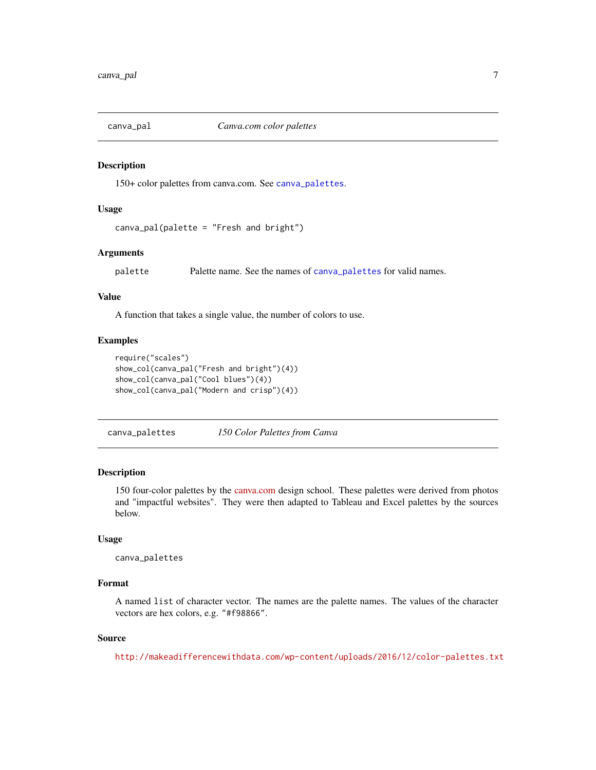<span id="page-6-0"></span>

## Description

150+ color palettes from canva.com. See [canva\\_palettes](#page-6-1).

#### Usage

```
canva_pal(palette = "Fresh and bright")
```
## Arguments

palette Palette name. See the names of [canva\\_palettes](#page-6-1) for valid names.

## Value

A function that takes a single value, the number of colors to use.

#### Examples

```
require("scales")
show_col(canva_pal("Fresh and bright")(4))
show_col(canva_pal("Cool blues")(4))
show_col(canva_pal("Modern and crisp")(4))
```
<span id="page-6-1"></span>canva\_palettes *150 Color Palettes from Canva*

#### Description

150 four-color palettes by the [canva.com](https://designschool.canva.com) design school. These palettes were derived from photos and "impactful websites". They were then adapted to Tableau and Excel palettes by the sources below.

## Usage

```
canva_palettes
```
## Format

A named list of character vector. The names are the palette names. The values of the character vectors are hex colors, e.g. "#f98866".

## Source

<http://makeadifferencewithdata.com/wp-content/uploads/2016/12/color-palettes.txt>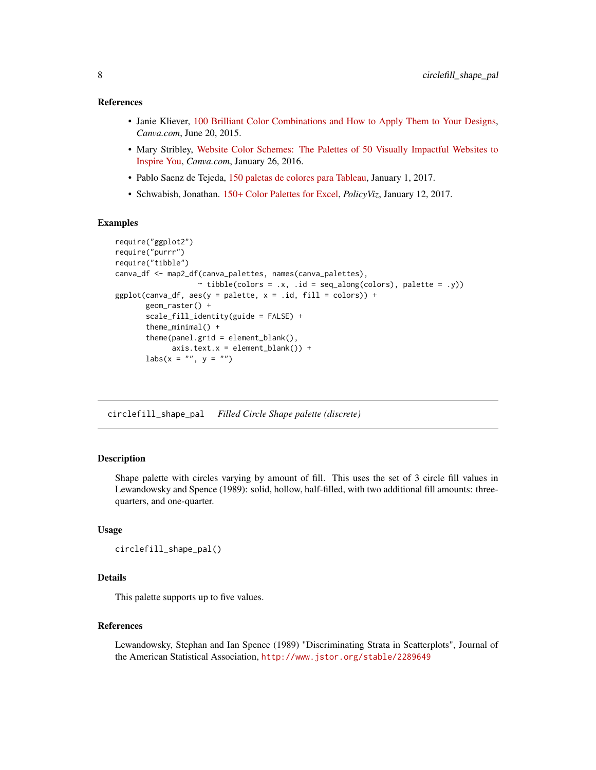#### <span id="page-7-0"></span>References

- Janie Kliever, [100 Brilliant Color Combinations and How to Apply Them to Your Designs,](https://designschool.canva.com/blog/100-color-combinations/) *Canva.com*, June 20, 2015.
- Mary Stribley, [Website Color Schemes: The Palettes of 50 Visually Impactful Websites to](https://designschool.canva.com/blog/website-color-schemes/) [Inspire You,](https://designschool.canva.com/blog/website-color-schemes/) *Canva.com*, January 26, 2016.
- Pablo Saenz de Tejeda, [150 paletas de colores para Tableau,](http://makeadifferencewithdata.com/2017/01/150-paletas-colores-tableau/) January 1, 2017.
- Schwabish, Jonathan. [150+ Color Palettes for Excel,](https://policyviz.com/2017/01/12/150-color-palettes-for-excel/) *PolicyViz*, January 12, 2017.

#### Examples

```
require("ggplot2")
require("purrr")
require("tibble")
canva_df <- map2_df(canva_palettes, names(canva_palettes),
                    \sim tibble(colors = .x, .id = seq_along(colors), palette = .y))
ggplot(canva_df, aes(y = palette, x = .id, fill = colors)) +geom_raster() +
       scale_fill_identity(guide = FALSE) +
       theme_minimal() +
       theme(panel.grid = element_blank(),
             axis.text.x = element\_blank() +
       \text{labs}(x = \text{""}, y = \text{""})
```
<span id="page-7-1"></span>circlefill\_shape\_pal *Filled Circle Shape palette (discrete)*

## Description

Shape palette with circles varying by amount of fill. This uses the set of 3 circle fill values in Lewandowsky and Spence (1989): solid, hollow, half-filled, with two additional fill amounts: threequarters, and one-quarter.

## Usage

```
circlefill_shape_pal()
```
## Details

This palette supports up to five values.

#### References

Lewandowsky, Stephan and Ian Spence (1989) "Discriminating Strata in Scatterplots", Journal of the American Statistical Association, <http://www.jstor.org/stable/2289649>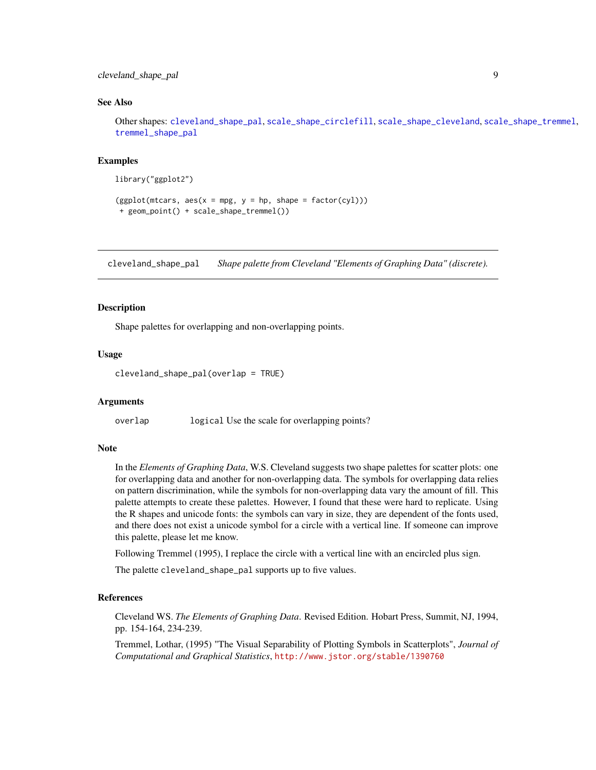## <span id="page-8-0"></span>cleveland\_shape\_pal 9

#### See Also

Other shapes: [cleveland\\_shape\\_pal](#page-8-1), [scale\\_shape\\_circlefill](#page-33-1), [scale\\_shape\\_cleveland](#page-33-2), [scale\\_shape\\_tremmel](#page-35-1), [tremmel\\_shape\\_pal](#page-60-1)

#### Examples

```
library("ggplot2")
```

```
(ggplot(mtcars, aes(x = mp, y = hp, shape = factor(cyl)))+ geom_point() + scale_shape_tremmel())
```
<span id="page-8-1"></span>cleveland\_shape\_pal *Shape palette from Cleveland "Elements of Graphing Data" (discrete).*

#### **Description**

Shape palettes for overlapping and non-overlapping points.

#### Usage

```
cleveland_shape_pal(overlap = TRUE)
```
## Arguments

overlap logical Use the scale for overlapping points?

## Note

In the *Elements of Graphing Data*, W.S. Cleveland suggests two shape palettes for scatter plots: one for overlapping data and another for non-overlapping data. The symbols for overlapping data relies on pattern discrimination, while the symbols for non-overlapping data vary the amount of fill. This palette attempts to create these palettes. However, I found that these were hard to replicate. Using the R shapes and unicode fonts: the symbols can vary in size, they are dependent of the fonts used, and there does not exist a unicode symbol for a circle with a vertical line. If someone can improve this palette, please let me know.

Following Tremmel (1995), I replace the circle with a vertical line with an encircled plus sign.

The palette cleveland\_shape\_pal supports up to five values.

#### References

Cleveland WS. *The Elements of Graphing Data*. Revised Edition. Hobart Press, Summit, NJ, 1994, pp. 154-164, 234-239.

Tremmel, Lothar, (1995) "The Visual Separability of Plotting Symbols in Scatterplots", *Journal of Computational and Graphical Statistics*, <http://www.jstor.org/stable/1390760>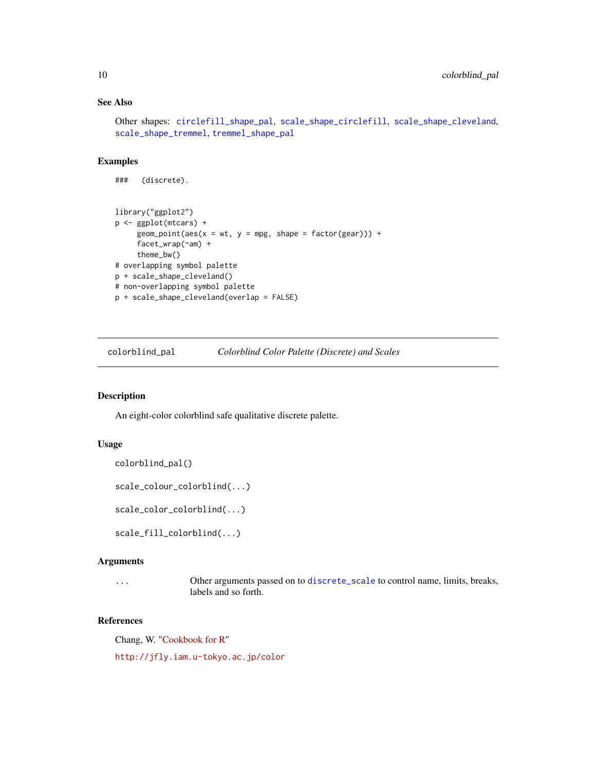## See Also

```
Other shapes: circlefill_shape_pal, scale_shape_circlefill, scale_shape_cleveland,
scale_shape_tremmel, tremmel_shape_pal
```
#### Examples

```
### (discrete).
library("ggplot2")
p <- ggplot(mtcars) +
     geom\_point(aes(x = wt, y = mp, shape = factor(gear))) +facet_wrap(~am) +
     theme_bw()
# overlapping symbol palette
p + scale_shape_cleveland()
# non-overlapping symbol palette
p + scale_shape_cleveland(overlap = FALSE)
```
colorblind\_pal *Colorblind Color Palette (Discrete) and Scales*

## Description

An eight-color colorblind safe qualitative discrete palette.

#### Usage

```
colorblind_pal()
```

```
scale_colour_colorblind(...)
```

```
scale_color_colorblind(...)
```

```
scale_fill_colorblind(...)
```
#### Arguments

```
... Other arguments passed on to discrete_scale to control name, limits, breaks,
                labels and so forth.
```
## References

Chang, W. ["Cookbook for R"](http://www.cookbook-r.com/Graphs/Colors_(ggplot2)/#a-colorblind-friendly-palette)

<http://jfly.iam.u-tokyo.ac.jp/color>

<span id="page-9-0"></span>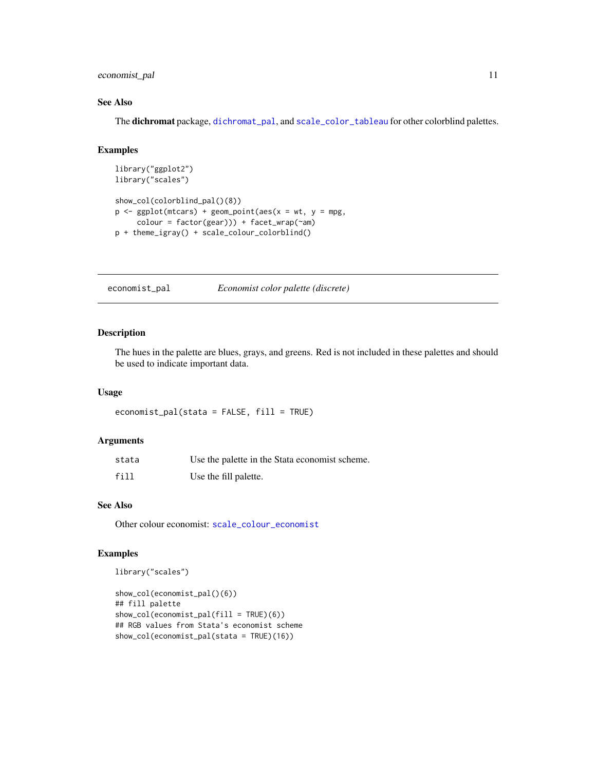## <span id="page-10-0"></span>economist\_pal 11

## See Also

The dichromat package, [dichromat\\_pal](#page-0-0), and [scale\\_color\\_tableau](#page-28-1) for other colorblind palettes.

## Examples

```
library("ggplot2")
library("scales")
show_col(colorblind_pal()(8))
p \leq - ggplot(mtcars) + geom_point(aes(x = wt, y = mpg,
     colour = factor(gear))) + facet_wrap(~am)
p + theme_igray() + scale_colour_colorblind()
```
<span id="page-10-1"></span>economist\_pal *Economist color palette (discrete)*

#### Description

The hues in the palette are blues, grays, and greens. Red is not included in these palettes and should be used to indicate important data.

#### Usage

economist\_pal(stata = FALSE, fill = TRUE)

#### Arguments

| stata | Use the palette in the Stata economist scheme. |
|-------|------------------------------------------------|
| fill  | Use the fill palette.                          |

#### See Also

Other colour economist: [scale\\_colour\\_economist](#page-22-1)

```
library("scales")
```

```
show_col(economist_pal()(6))
## fill palette
show_col(economist_pal(fill = TRUE)(6))
## RGB values from Stata's economist scheme
show_col(economist_pal(stata = TRUE)(16))
```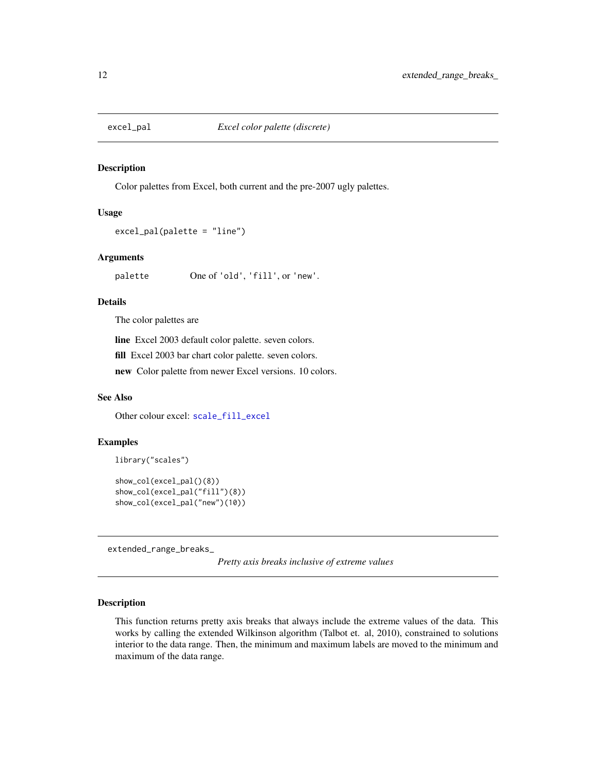<span id="page-11-1"></span><span id="page-11-0"></span>

#### Description

Color palettes from Excel, both current and the pre-2007 ugly palettes.

#### Usage

```
excel_pal(palette = "line")
```
## Arguments

palette One of 'old', 'fill', or 'new'.

## Details

The color palettes are

line Excel 2003 default color palette. seven colors. fill Excel 2003 bar chart color palette. seven colors. new Color palette from newer Excel versions. 10 colors.

#### See Also

Other colour excel: [scale\\_fill\\_excel](#page-30-1)

#### Examples

```
library("scales")
show_col(excel_pal()(8))
show_col(excel_pal("fill")(8))
show_col(excel_pal("new")(10))
```
extended\_range\_breaks\_

*Pretty axis breaks inclusive of extreme values*

#### Description

This function returns pretty axis breaks that always include the extreme values of the data. This works by calling the extended Wilkinson algorithm (Talbot et. al, 2010), constrained to solutions interior to the data range. Then, the minimum and maximum labels are moved to the minimum and maximum of the data range.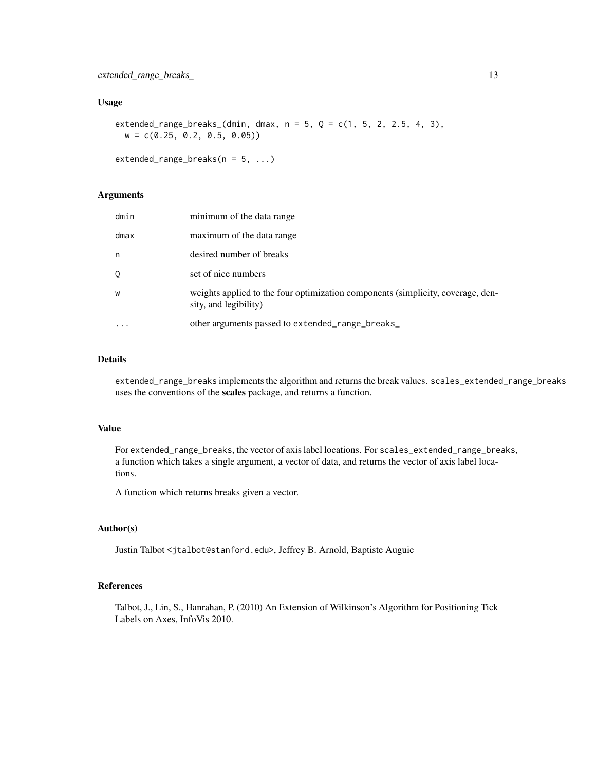#### Usage

extended\_range\_breaks\_(dmin, dmax,  $n = 5$ ,  $Q = c(1, 5, 2, 2.5, 4, 3)$ ,  $w = c(0.25, 0.2, 0.5, 0.05)$ 

 $extended_range_breaks(n = 5, ...)$ 

#### Arguments

| dmin | minimum of the data range                                                                                |
|------|----------------------------------------------------------------------------------------------------------|
| dmax | maximum of the data range                                                                                |
| n    | desired number of breaks                                                                                 |
| 0    | set of nice numbers                                                                                      |
| W    | weights applied to the four optimization components (simplicity, coverage, den-<br>sity, and legibility) |
|      | other arguments passed to extended_range_breaks_                                                         |

## Details

extended\_range\_breaks implements the algorithm and returns the break values. scales\_extended\_range\_breaks uses the conventions of the scales package, and returns a function.

## Value

For extended\_range\_breaks, the vector of axis label locations. For scales\_extended\_range\_breaks, a function which takes a single argument, a vector of data, and returns the vector of axis label locations.

A function which returns breaks given a vector.

#### Author(s)

Justin Talbot <jtalbot@stanford.edu>, Jeffrey B. Arnold, Baptiste Auguie

## References

Talbot, J., Lin, S., Hanrahan, P. (2010) An Extension of Wilkinson's Algorithm for Positioning Tick Labels on Axes, InfoVis 2010.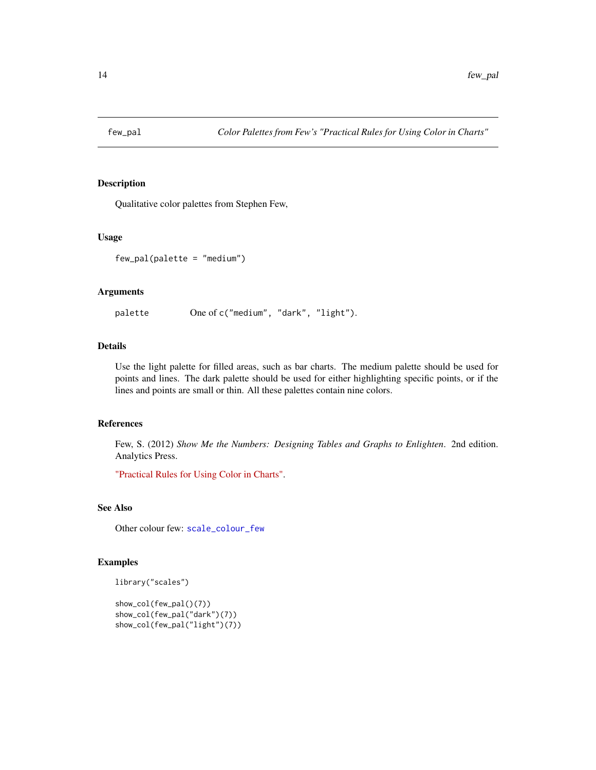<span id="page-13-1"></span><span id="page-13-0"></span>

## Description

Qualitative color palettes from Stephen Few,

#### Usage

few\_pal(palette = "medium")

#### Arguments

palette One of c("medium", "dark", "light").

#### Details

Use the light palette for filled areas, such as bar charts. The medium palette should be used for points and lines. The dark palette should be used for either highlighting specific points, or if the lines and points are small or thin. All these palettes contain nine colors.

#### References

Few, S. (2012) *Show Me the Numbers: Designing Tables and Graphs to Enlighten*. 2nd edition. Analytics Press.

["Practical Rules for Using Color in Charts".](http://www.perceptualedge.com/articles/visual_business_intelligence/rules_for_using_color.pdf)

## See Also

Other colour few: [scale\\_colour\\_few](#page-22-2)

```
library("scales")
```

```
show_col(few_pal()(7))
show_col(few_pal("dark")(7))
show_col(few_pal("light")(7))
```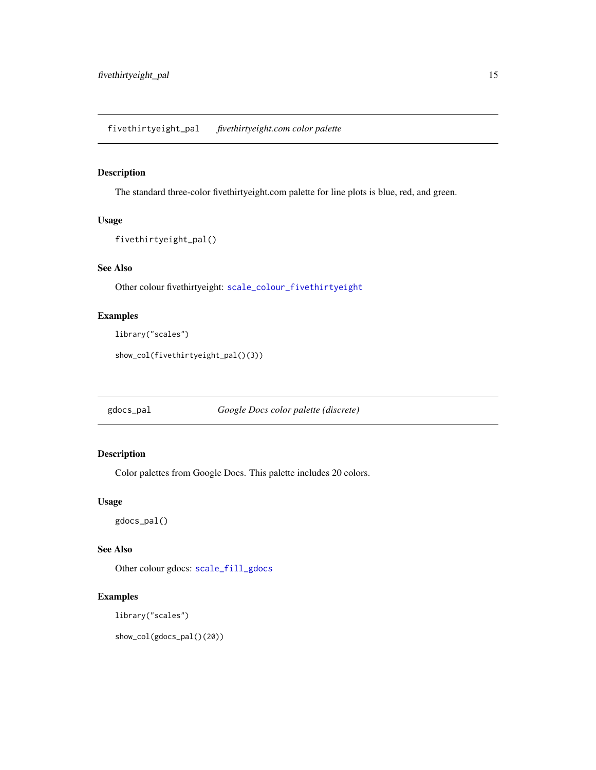## <span id="page-14-1"></span><span id="page-14-0"></span>Description

The standard three-color fivethirtyeight.com palette for line plots is blue, red, and green.

## Usage

```
fivethirtyeight_pal()
```
## See Also

Other colour fivethirtyeight: [scale\\_colour\\_fivethirtyeight](#page-23-1)

## Examples

```
library("scales")
```
show\_col(fivethirtyeight\_pal()(3))

<span id="page-14-2"></span>gdocs\_pal *Google Docs color palette (discrete)*

## Description

Color palettes from Google Docs. This palette includes 20 colors.

## Usage

```
gdocs_pal()
```
#### See Also

Other colour gdocs: [scale\\_fill\\_gdocs](#page-30-2)

## Examples

library("scales")

show\_col(gdocs\_pal()(20))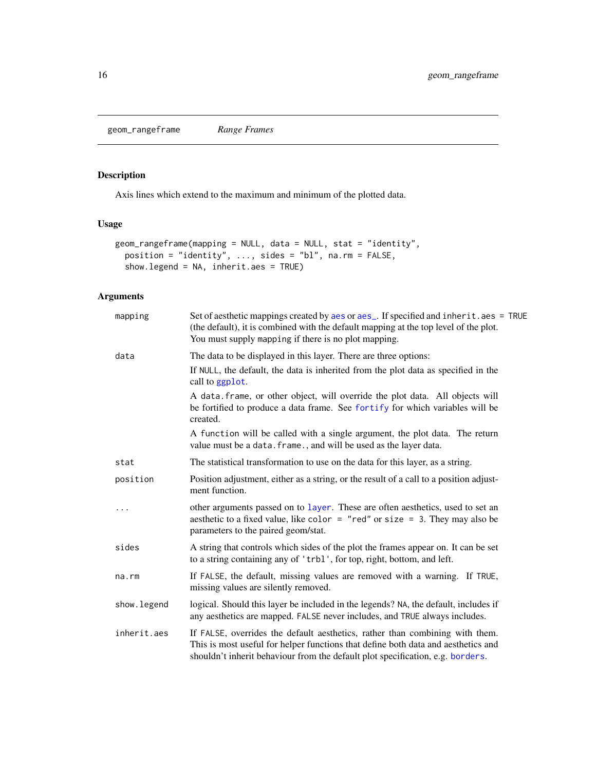<span id="page-15-1"></span><span id="page-15-0"></span>geom\_rangeframe *Range Frames*

## Description

Axis lines which extend to the maximum and minimum of the plotted data.

## Usage

```
geom_rangeframe(mapping = NULL, data = NULL, stat = "identity",
 position = "identity", ..., sides = "bl", na.rm = FALSE,
  show.legend = NA, inherit.aes = TRUE)
```
## Arguments

| mapping      | Set of aesthetic mappings created by aes or aes_. If specified and inherit.aes = TRUE<br>(the default), it is combined with the default mapping at the top level of the plot.<br>You must supply mapping if there is no plot mapping.               |
|--------------|-----------------------------------------------------------------------------------------------------------------------------------------------------------------------------------------------------------------------------------------------------|
| data         | The data to be displayed in this layer. There are three options:                                                                                                                                                                                    |
|              | If NULL, the default, the data is inherited from the plot data as specified in the<br>call to ggplot.                                                                                                                                               |
|              | A data. frame, or other object, will override the plot data. All objects will<br>be fortified to produce a data frame. See fortify for which variables will be<br>created.                                                                          |
|              | A function will be called with a single argument, the plot data. The return<br>value must be a data. frame., and will be used as the layer data.                                                                                                    |
| stat         | The statistical transformation to use on the data for this layer, as a string.                                                                                                                                                                      |
| position     | Position adjustment, either as a string, or the result of a call to a position adjust-<br>ment function.                                                                                                                                            |
|              | other arguments passed on to layer. These are often aesthetics, used to set an<br>aesthetic to a fixed value, like color = "red" or size = 3. They may also be<br>parameters to the paired geom/stat.                                               |
| sides        | A string that controls which sides of the plot the frames appear on. It can be set<br>to a string containing any of 'trbl', for top, right, bottom, and left.                                                                                       |
| na.rm        | If FALSE, the default, missing values are removed with a warning. If TRUE,<br>missing values are silently removed.                                                                                                                                  |
| show. legend | logical. Should this layer be included in the legends? NA, the default, includes if<br>any aesthetics are mapped. FALSE never includes, and TRUE always includes.                                                                                   |
| inherit.aes  | If FALSE, overrides the default aesthetics, rather than combining with them.<br>This is most useful for helper functions that define both data and aesthetics and<br>shouldn't inherit behaviour from the default plot specification, e.g. borders. |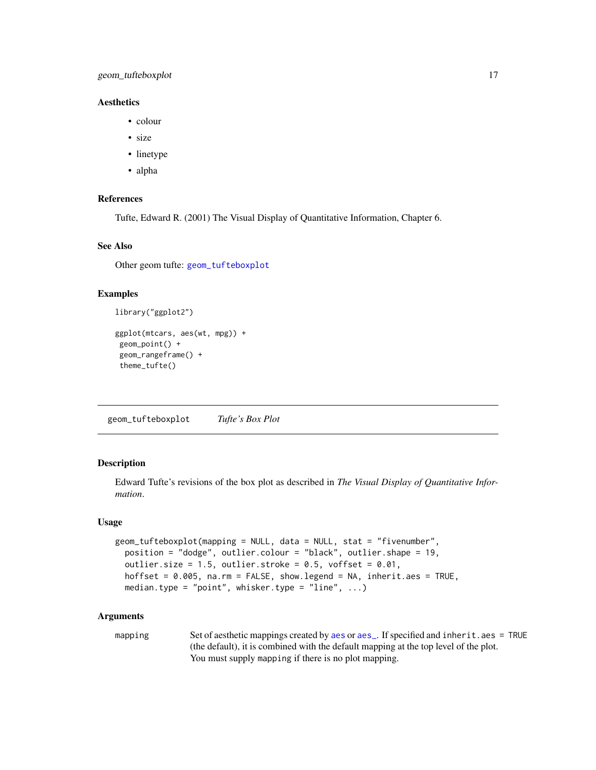## <span id="page-16-0"></span>geom\_tufteboxplot 17

## **Aesthetics**

- colour
- size
- linetype
- alpha

## References

Tufte, Edward R. (2001) The Visual Display of Quantitative Information, Chapter 6.

#### See Also

Other geom tufte: [geom\\_tufteboxplot](#page-16-1)

## Examples

library("ggplot2")

```
ggplot(mtcars, aes(wt, mpg)) +
geom_point() +
geom_rangeframe() +
theme_tufte()
```
<span id="page-16-1"></span>geom\_tufteboxplot *Tufte's Box Plot*

## Description

Edward Tufte's revisions of the box plot as described in *The Visual Display of Quantitative Information*.

#### Usage

```
geom_tufteboxplot(mapping = NULL, data = NULL, stat = "fivenumber",
 position = "dodge", outlier.colour = "black", outlier.shape = 19,
 outlier.size = 1.5, outlier.stroke = 0.5, voffset = 0.01,
 hoffset = 0.005, na.rm = FALSE, show.legend = NA, inherit.aes = TRUE,
 median.type = "point", whisker.type = "line", \dots)
```
#### Arguments

mapping Set of [aes](#page-0-0)thetic mappings created by aes or [aes\\_](#page-0-0). If specified and inherit.aes = TRUE (the default), it is combined with the default mapping at the top level of the plot. You must supply mapping if there is no plot mapping.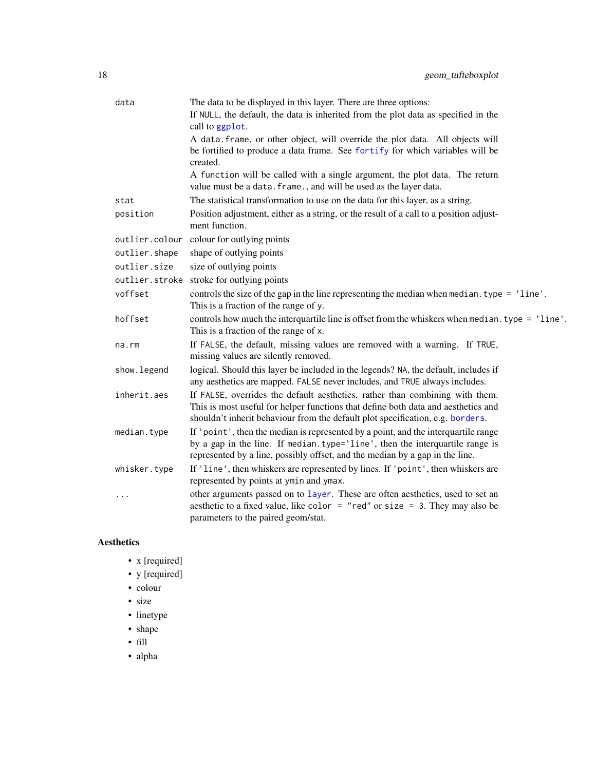<span id="page-17-0"></span>

| data           | The data to be displayed in this layer. There are three options:                                                                                                                                                                                    |
|----------------|-----------------------------------------------------------------------------------------------------------------------------------------------------------------------------------------------------------------------------------------------------|
|                | If NULL, the default, the data is inherited from the plot data as specified in the<br>call to ggplot.                                                                                                                                               |
|                | A data frame, or other object, will override the plot data. All objects will<br>be fortified to produce a data frame. See fortify for which variables will be<br>created.                                                                           |
|                | A function will be called with a single argument, the plot data. The return<br>value must be a data. frame., and will be used as the layer data.                                                                                                    |
| stat           | The statistical transformation to use on the data for this layer, as a string.                                                                                                                                                                      |
| position       | Position adjustment, either as a string, or the result of a call to a position adjust-<br>ment function.                                                                                                                                            |
| outlier.colour | colour for outlying points                                                                                                                                                                                                                          |
| outlier.shape  | shape of outlying points                                                                                                                                                                                                                            |
| outlier.size   | size of outlying points                                                                                                                                                                                                                             |
| outlier.stroke | stroke for outlying points                                                                                                                                                                                                                          |
| voffset        | controls the size of the gap in the line representing the median when median. type = 'line'.<br>This is a fraction of the range of y.                                                                                                               |
| hoffset        | controls how much the interquartile line is offset from the whiskers when median. type = 'line'.<br>This is a fraction of the range of x.                                                                                                           |
| na.rm          | If FALSE, the default, missing values are removed with a warning. If TRUE,<br>missing values are silently removed.                                                                                                                                  |
| show.legend    | logical. Should this layer be included in the legends? NA, the default, includes if<br>any aesthetics are mapped. FALSE never includes, and TRUE always includes.                                                                                   |
| inherit.aes    | If FALSE, overrides the default aesthetics, rather than combining with them.<br>This is most useful for helper functions that define both data and aesthetics and<br>shouldn't inherit behaviour from the default plot specification, e.g. borders. |
| median.type    | If 'point', then the median is represented by a point, and the interquartile range<br>by a gap in the line. If median.type='line', then the interquartile range is<br>represented by a line, possibly offset, and the median by a gap in the line.  |
| whisker.type   | If 'line', then whiskers are represented by lines. If 'point', then whiskers are<br>represented by points at ymin and ymax.                                                                                                                         |
| .              | other arguments passed on to layer. These are often aesthetics, used to set an<br>aesthetic to a fixed value, like color = "red" or size = 3. They may also be<br>parameters to the paired geom/stat.                                               |

## Aesthetics

- x [required]
- y [required]
- colour
- size
- linetype
- shape
- fill
- alpha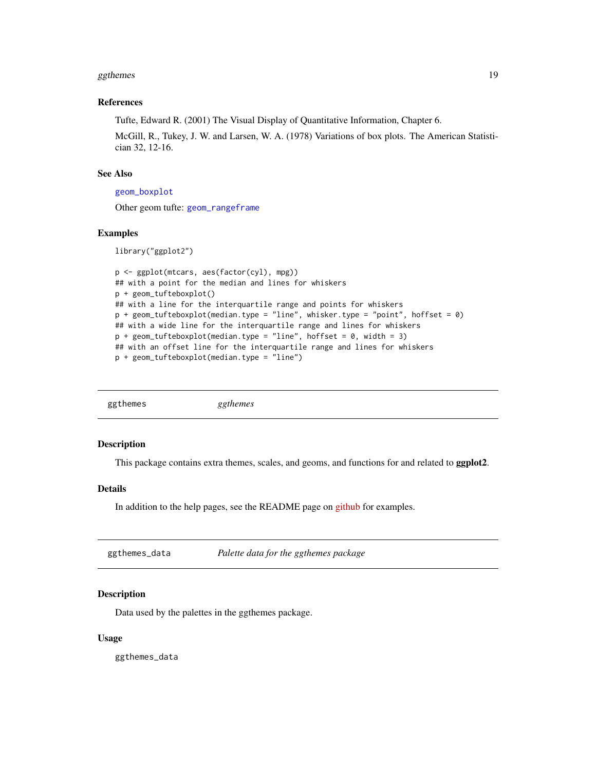#### <span id="page-18-0"></span>ggthemes and the state of the state of the state of the state of the state of the state of the state of the state of the state of the state of the state of the state of the state of the state of the state of the state of t

#### References

Tufte, Edward R. (2001) The Visual Display of Quantitative Information, Chapter 6.

McGill, R., Tukey, J. W. and Larsen, W. A. (1978) Variations of box plots. The American Statistician 32, 12-16.

## See Also

```
geom_boxplot
```
Other geom tufte: [geom\\_rangeframe](#page-15-1)

#### Examples

library("ggplot2")

```
p <- ggplot(mtcars, aes(factor(cyl), mpg))
## with a point for the median and lines for whiskers
p + geom_tufteboxplot()
## with a line for the interquartile range and points for whiskers
p + geom_tufteboxplot(median.type = "line", whisker.type = "point", hoffset = 0)
## with a wide line for the interquartile range and lines for whiskers
p + geom_{tufteboxplot(median-type = "line", hoffset = 0, width = 3)## with an offset line for the interquartile range and lines for whiskers
p + geom_tufteboxplot(median.type = "line")
```

## Description

This package contains extra themes, scales, and geoms, and functions for and related to ggplot2.

#### Details

In addition to the help pages, see the README page on [github](https://github.com/jrnold/ggthemes) for examples.

<span id="page-18-1"></span>

| ggthemes_data | Palette data for the ggthemes package |  |
|---------------|---------------------------------------|--|
|---------------|---------------------------------------|--|

## Description

Data used by the palettes in the ggthemes package.

#### Usage

ggthemes\_data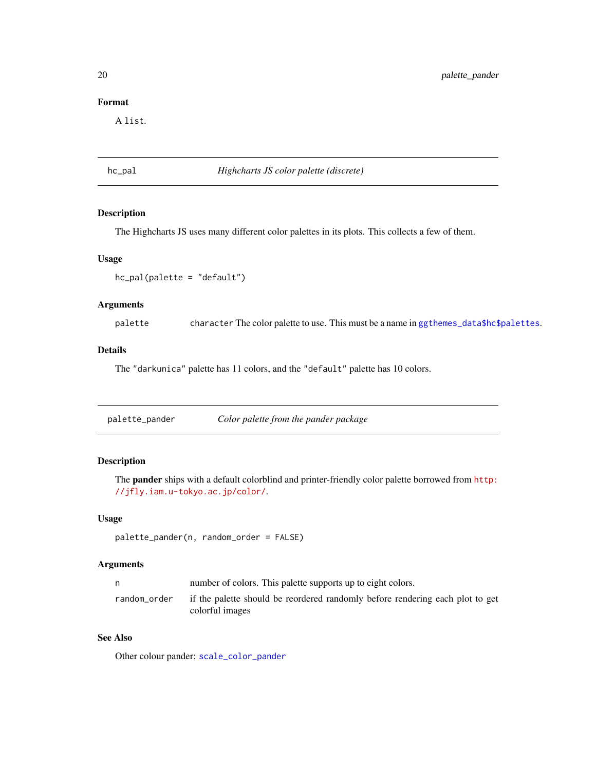## Format

A list.

<span id="page-19-2"></span>hc\_pal *Highcharts JS color palette (discrete)*

## Description

The Highcharts JS uses many different color palettes in its plots. This collects a few of them.

#### Usage

hc\_pal(palette = "default")

## Arguments

palette character The color palette to use. This must be a name in [ggthemes\\_data\\$hc\\$palettes](#page-18-1).

## Details

The "darkunica" palette has 11 colors, and the "default" palette has 10 colors.

<span id="page-19-1"></span>

| palette_pander | Color palette from the pander package |  |
|----------------|---------------------------------------|--|
|                |                                       |  |

## Description

The pander ships with a default colorblind and printer-friendly color palette borrowed from [http:](http://jfly.iam.u-tokyo.ac.jp/color/) [//jfly.iam.u-tokyo.ac.jp/color/](http://jfly.iam.u-tokyo.ac.jp/color/).

## Usage

```
palette_pander(n, random_order = FALSE)
```
#### Arguments

| n            | number of colors. This palette supports up to eight colors.                                      |
|--------------|--------------------------------------------------------------------------------------------------|
| random_order | if the palette should be reordered randomly before rendering each plot to get<br>colorful images |

## See Also

Other colour pander: [scale\\_color\\_pander](#page-21-1)

<span id="page-19-0"></span>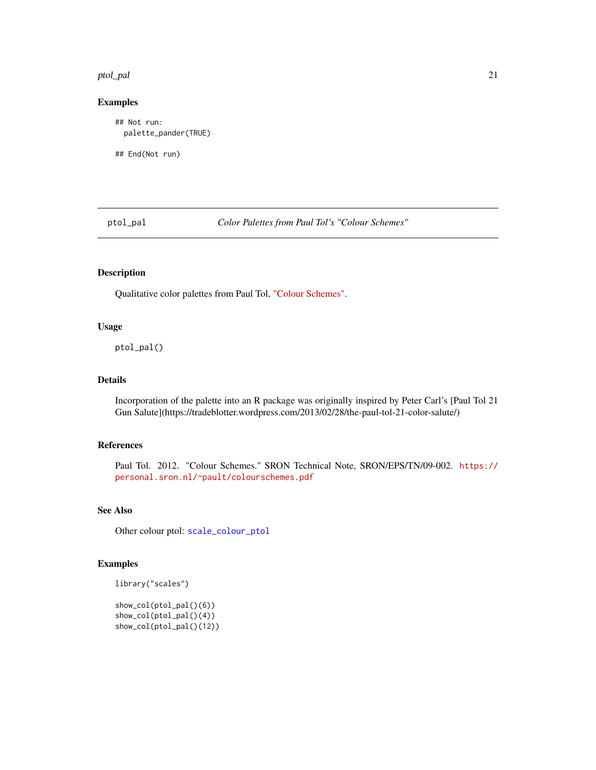#### <span id="page-20-0"></span>ptol\_pal 21

## Examples

## Not run: palette\_pander(TRUE)

## End(Not run)

<span id="page-20-1"></span>ptol\_pal *Color Palettes from Paul Tol's "Colour Schemes"*

## Description

Qualitative color palettes from Paul Tol, ["Colour Schemes".](https://personal.sron.nl/~pault/colourschemes.pdf)

## Usage

ptol\_pal()

## Details

Incorporation of the palette into an R package was originally inspired by Peter Carl's [Paul Tol 21 Gun Salute](https://tradeblotter.wordpress.com/2013/02/28/the-paul-tol-21-color-salute/)

## References

Paul Tol. 2012. "Colour Schemes." SRON Technical Note, SRON/EPS/TN/09-002. [https://](https://personal.sron.nl/~pault/colourschemes.pdf) [personal.sron.nl/~pault/colourschemes.pdf](https://personal.sron.nl/~pault/colourschemes.pdf)

## See Also

Other colour ptol: [scale\\_colour\\_ptol](#page-27-1)

## Examples

```
library("scales")
```
show\_col(ptol\_pal()(6)) show\_col(ptol\_pal()(4)) show\_col(ptol\_pal()(12))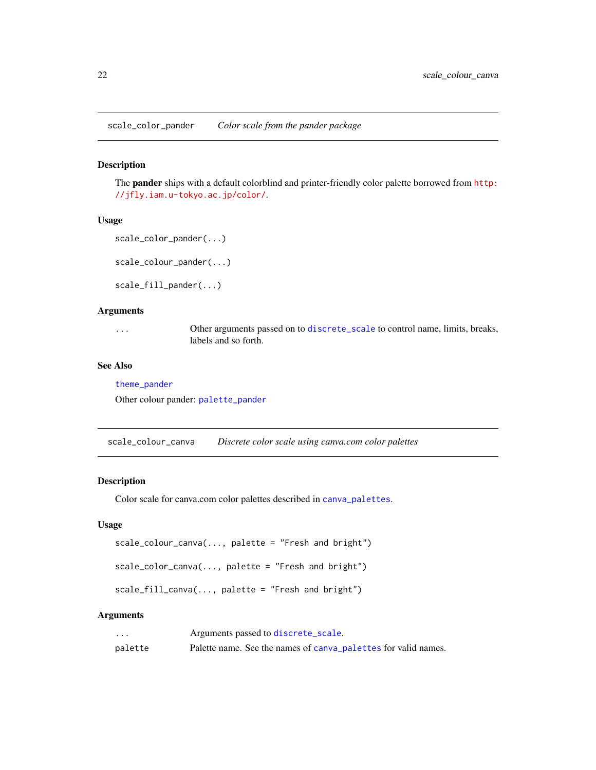<span id="page-21-1"></span><span id="page-21-0"></span>scale\_color\_pander *Color scale from the pander package*

## Description

The pander ships with a default colorblind and printer-friendly color palette borrowed from [http:](http://jfly.iam.u-tokyo.ac.jp/color/) [//jfly.iam.u-tokyo.ac.jp/color/](http://jfly.iam.u-tokyo.ac.jp/color/).

#### Usage

```
scale_color_pander(...)
```
scale\_colour\_pander(...)

scale\_fill\_pander(...)

#### Arguments

| $\cdots$ | Other arguments passed on to discrete_scale to control name, limits, breaks, |
|----------|------------------------------------------------------------------------------|
|          | labels and so forth.                                                         |

#### See Also

[theme\\_pander](#page-53-1)

Other colour pander: [palette\\_pander](#page-19-1)

scale\_colour\_canva *Discrete color scale using canva.com color palettes*

## Description

Color scale for canva.com color palettes described in [canva\\_palettes](#page-6-1).

## Usage

```
scale_colour_canva(..., palette = "Fresh and bright")
```
scale\_color\_canva(..., palette = "Fresh and bright")

 $scale_fill\_canva(..., platete = "Fresh and bright")$ 

## Arguments

| $\cdots$ | Arguments passed to discrete_scale.                            |
|----------|----------------------------------------------------------------|
| palette  | Palette name. See the names of canva palettes for valid names. |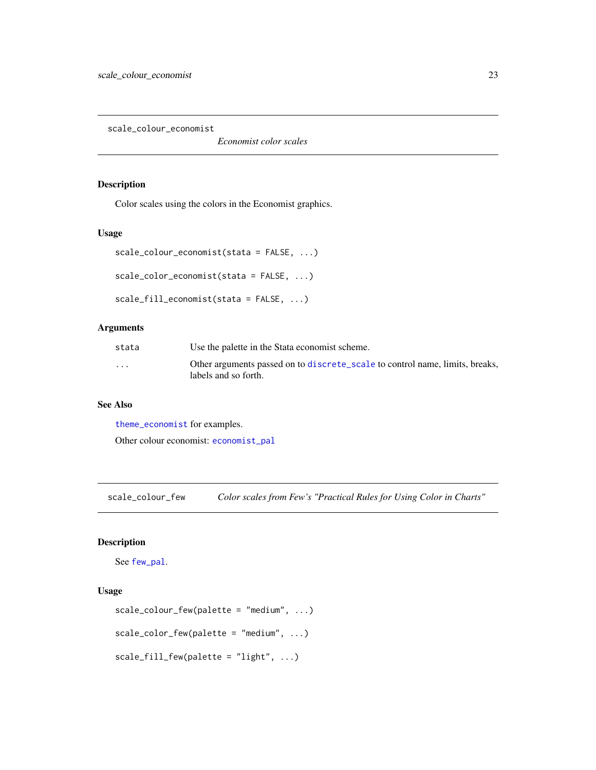<span id="page-22-1"></span><span id="page-22-0"></span>scale\_colour\_economist

*Economist color scales*

## Description

Color scales using the colors in the Economist graphics.

#### Usage

```
scale_colour_economist(stata = FALSE, ...)
scale_color_economist(stata = FALSE, ...)
scale_fill_economist(stata = FALSE, ...)
```
## Arguments

| stata   | Use the palette in the Stata economist scheme.                                                       |
|---------|------------------------------------------------------------------------------------------------------|
| $\cdot$ | Other arguments passed on to discrete_scale to control name, limits, breaks,<br>labels and so forth. |

## See Also

[theme\\_economist](#page-46-1) for examples.

Other colour economist: [economist\\_pal](#page-10-1)

<span id="page-22-2"></span>scale\_colour\_few *Color scales from Few's "Practical Rules for Using Color in Charts"*

## Description

See [few\\_pal](#page-13-1).

## Usage

```
scale_colour_few(palette = "medium", ...)
scale_color_few(palette = "medium", ...)
scale_fill_few(palette = "light", ...)
```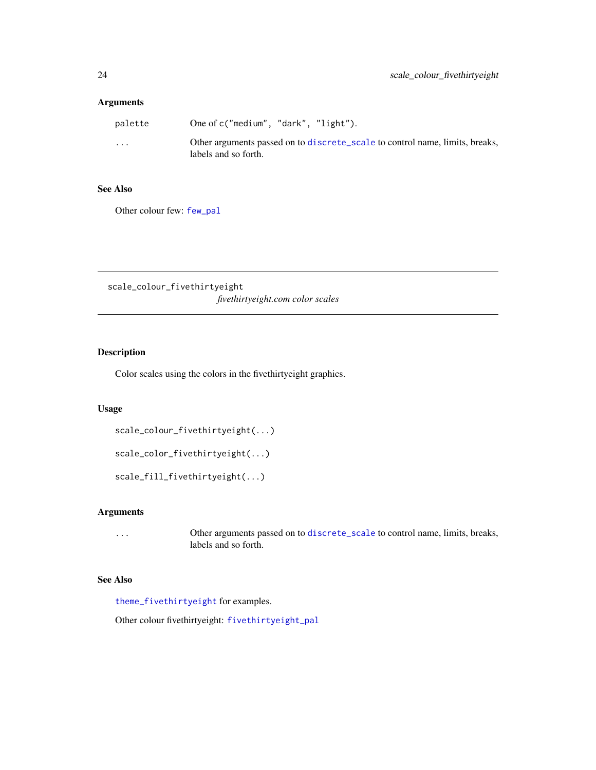## <span id="page-23-0"></span>Arguments

| palette  | One of c("medium", "dark", "light").                                                                 |
|----------|------------------------------------------------------------------------------------------------------|
| $\cdots$ | Other arguments passed on to discrete_scale to control name, limits, breaks,<br>labels and so forth. |

## See Also

Other colour few: [few\\_pal](#page-13-1)

<span id="page-23-1"></span>scale\_colour\_fivethirtyeight *fivethirtyeight.com color scales*

## Description

Color scales using the colors in the fivethirtyeight graphics.

## Usage

```
scale_colour_fivethirtyeight(...)
```

```
scale_color_fivethirtyeight(...)
```
scale\_fill\_fivethirtyeight(...)

## Arguments

... Other arguments passed on to [discrete\\_scale](#page-0-0) to control name, limits, breaks, labels and so forth.

## See Also

[theme\\_fivethirtyeight](#page-49-1) for examples.

Other colour fivethirtyeight: [fivethirtyeight\\_pal](#page-14-1)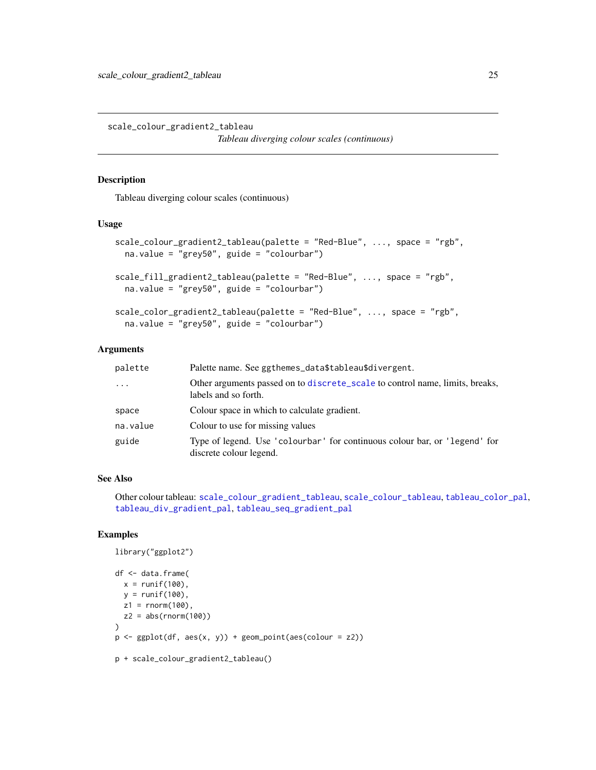<span id="page-24-1"></span><span id="page-24-0"></span>scale\_colour\_gradient2\_tableau *Tableau diverging colour scales (continuous)*

## Description

Tableau diverging colour scales (continuous)

## Usage

```
scale_colour_gradient2_tableau(palette = "Red-Blue", ..., space = "rgb",
 na.value = "grey50", guide = "colourbar")
scale_fill_gradient2_tableau(palette = "Red-Blue", ..., space = "rgb",
 na.value = "grey50", guide = "colourbar")
scale_color_gradient2_tableau(palette = "Red-Blue", ..., space = "rgb",
  na.value = "grey50", guide = "colourbar")
```
#### Arguments

| palette    | Palette name. See ggthemes_data\$tableau\$divergent.                                                  |
|------------|-------------------------------------------------------------------------------------------------------|
| $\ddots$ . | Other arguments passed on to discrete_scale to control name, limits, breaks,<br>labels and so forth.  |
| space      | Colour space in which to calculate gradient.                                                          |
| na.value   | Colour to use for missing values                                                                      |
| guide      | Type of legend. Use 'colourbar' for continuous colour bar, or 'legend' for<br>discrete colour legend. |

## See Also

Other colour tableau: [scale\\_colour\\_gradient\\_tableau](#page-25-1), [scale\\_colour\\_tableau](#page-28-2), [tableau\\_color\\_pal](#page-41-1), [tableau\\_div\\_gradient\\_pal](#page-42-1), [tableau\\_seq\\_gradient\\_pal](#page-43-1)

## Examples

library("ggplot2")

```
df <- data.frame(
  x = runif(100),
  y = runif(100),
  z1 = \text{norm}(100),
  z2 = abs(rnorm(100)))
p \leftarrow \text{ggplot}(df, \text{aes}(x, y)) + \text{geom\_point}( \text{aes}(\text{colour} = z2))p + scale_colour_gradient2_tableau()
```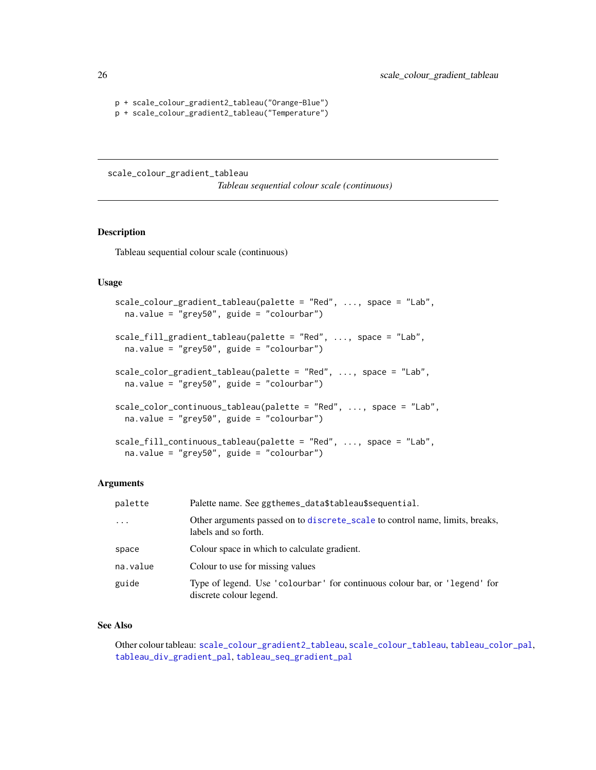```
p + scale_colour_gradient2_tableau("Orange-Blue")
p + scale_colour_gradient2_tableau("Temperature")
```
<span id="page-25-1"></span>scale\_colour\_gradient\_tableau

*Tableau sequential colour scale (continuous)*

## Description

Tableau sequential colour scale (continuous)

## Usage

```
scale_colour_gradient_tableau(palette = "Red", ..., space = "Lab",
 na.value = "grey50", guide = "colourbar")
scale_fill_gradient_tableau(palette = "Red", ..., space = "Lab",
 na.value = "grey50", guide = "colourbar")
scale_color_gradient_tableau(palette = "Red", ..., space = "Lab",
 na.value = "grey50", guide = "colourbar")
scale_color_continuous_tableau(palette = "Red", ..., space = "Lab",
 na.value = "grey50", guide = "colourbar")
scale_fill_continuous_tableau(palette = "Red", ..., space = "Lab",
 na.value = "grey50", guide = "colourbar")
```
#### Arguments

| palette   | Palette name. See ggthemes_data\$tableau\$sequential.                                                 |
|-----------|-------------------------------------------------------------------------------------------------------|
| $\ddotsc$ | Other arguments passed on to discrete_scale to control name, limits, breaks,<br>labels and so forth.  |
| space     | Colour space in which to calculate gradient.                                                          |
| na.value  | Colour to use for missing values                                                                      |
| guide     | Type of legend. Use 'colourbar' for continuous colour bar, or 'legend' for<br>discrete colour legend. |

## See Also

Other colour tableau: [scale\\_colour\\_gradient2\\_tableau](#page-24-1), [scale\\_colour\\_tableau](#page-28-2), [tableau\\_color\\_pal](#page-41-1), [tableau\\_div\\_gradient\\_pal](#page-42-1), [tableau\\_seq\\_gradient\\_pal](#page-43-1)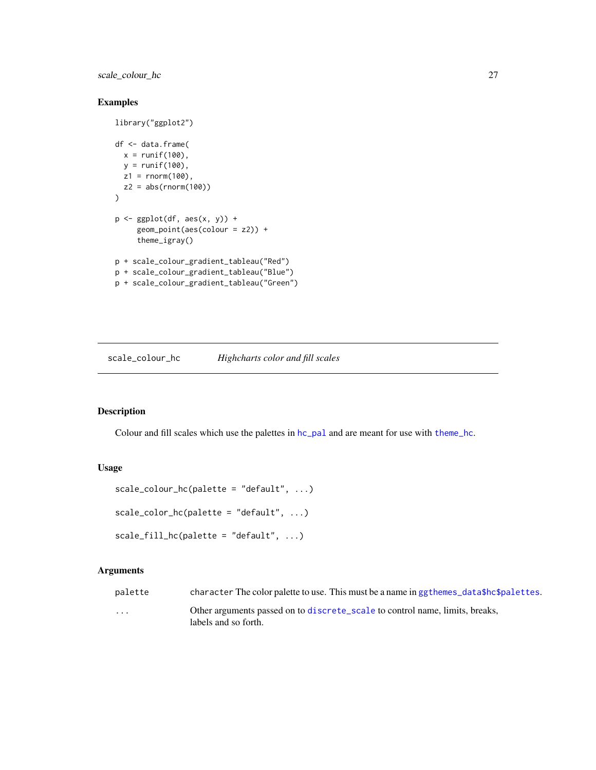<span id="page-26-0"></span>scale\_colour\_hc 27

## Examples

```
library("ggplot2")
df <- data.frame(
 x = runif(100),
  y = runif(100),
  z1 = rnorm(100),
  z2 = abs(rnorm(100))\lambdap <- ggplot(df, aes(x, y)) +
     geom_point(aes(colour = z2)) +
     theme_igray()
p + scale_colour_gradient_tableau("Red")
p + scale_colour_gradient_tableau("Blue")
p + scale_colour_gradient_tableau("Green")
```
scale\_colour\_hc *Highcharts color and fill scales*

## Description

Colour and fill scales which use the palettes in  $hc\_pal$  and are meant for use with [theme\\_hc](#page-51-1).

## Usage

```
scale\_colour\_hc(palette = "default", ...)scale_color_hc(palette = "default", ...)
scale_fill_hc(palette = "default", ...)
```
#### Arguments

| palette                 | character The color palette to use. This must be a name in ggthemes_data\$hc\$palettes. |
|-------------------------|-----------------------------------------------------------------------------------------|
| $\cdot$ $\cdot$ $\cdot$ | Other arguments passed on to discrete_scale to control name, limits, breaks,            |
|                         | labels and so forth.                                                                    |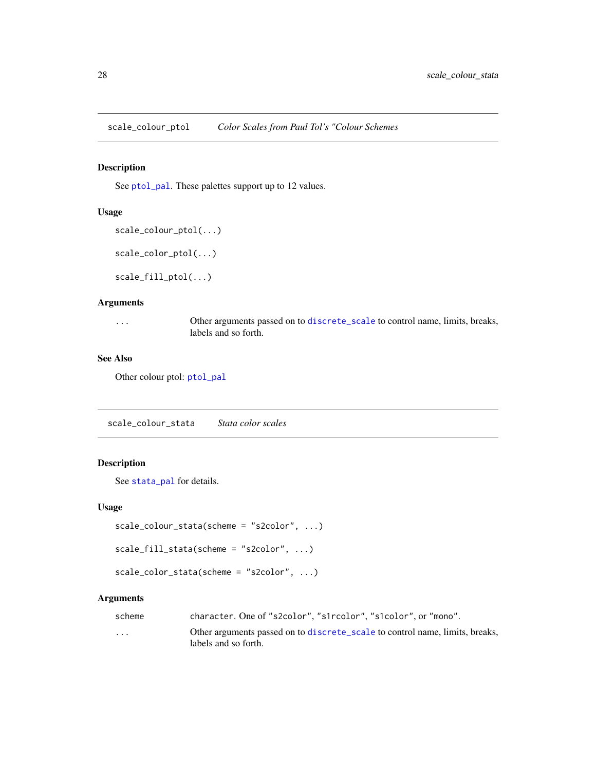<span id="page-27-1"></span><span id="page-27-0"></span>scale\_colour\_ptol *Color Scales from Paul Tol's "Colour Schemes*

## Description

See [ptol\\_pal](#page-20-1). These palettes support up to 12 values.

#### Usage

```
scale_colour_ptol(...)
```

```
scale_color_ptol(...)
```
scale\_fill\_ptol(...)

#### Arguments

... Other arguments passed on to [discrete\\_scale](#page-0-0) to control name, limits, breaks, labels and so forth.

## See Also

Other colour ptol: [ptol\\_pal](#page-20-1)

scale\_colour\_stata *Stata color scales*

## Description

See [stata\\_pal](#page-39-1) for details.

## Usage

```
scale_colour_stata(scheme = "s2color", ...)
```

```
scale_fill_stata(scheme = "s2color", ...)
```

```
scale_color_stata(scheme = "s2color", ...)
```
## Arguments

| scheme                  | character. One of "s2color", "s1rcolor", "s1color", or "mono".               |
|-------------------------|------------------------------------------------------------------------------|
| $\cdot$ $\cdot$ $\cdot$ | Other arguments passed on to discrete_scale to control name, limits, breaks, |
|                         | labels and so forth.                                                         |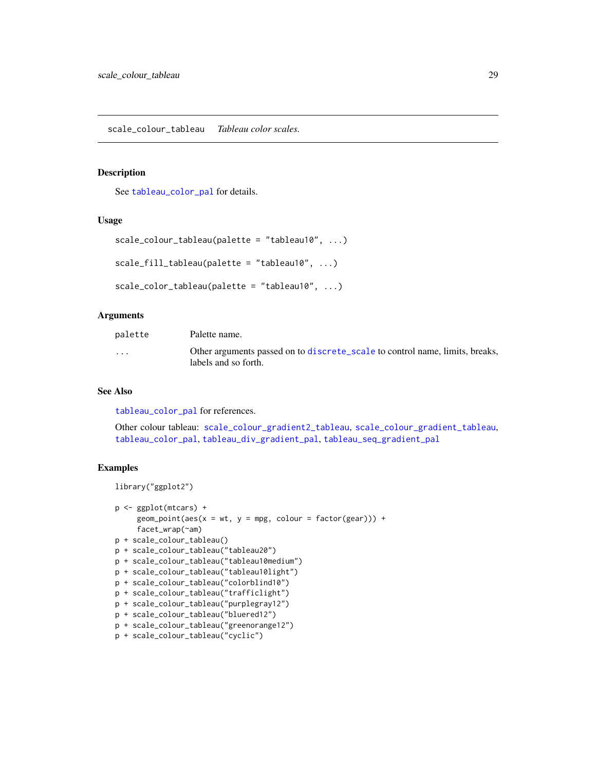## <span id="page-28-2"></span><span id="page-28-1"></span><span id="page-28-0"></span>Description

See [tableau\\_color\\_pal](#page-41-1) for details.

### Usage

```
scale_colour_tableau(palette = "tableau10", ...)
```

```
scale_fill_tableau(palette = "tableau10", ...)
```

```
scale_color_tableau(palette = "tableau10", ...)
```
#### Arguments

| palette  | Palette name.                                                                                        |
|----------|------------------------------------------------------------------------------------------------------|
| $\cdots$ | Other arguments passed on to discrete_scale to control name, limits, breaks,<br>labels and so forth. |

## See Also

[tableau\\_color\\_pal](#page-41-1) for references.

Other colour tableau: [scale\\_colour\\_gradient2\\_tableau](#page-24-1), [scale\\_colour\\_gradient\\_tableau](#page-25-1), [tableau\\_color\\_pal](#page-41-1), [tableau\\_div\\_gradient\\_pal](#page-42-1), [tableau\\_seq\\_gradient\\_pal](#page-43-1)

```
library("ggplot2")
```

```
p <- ggplot(mtcars) +
     geom\_point(aes(x = wt, y = mpg, colour = factor(gear))) +facet_wrap(~am)
p + scale_colour_tableau()
p + scale_colour_tableau("tableau20")
p + scale_colour_tableau("tableau10medium")
p + scale_colour_tableau("tableau10light")
p + scale_colour_tableau("colorblind10")
p + scale_colour_tableau("trafficlight")
p + scale_colour_tableau("purplegray12")
p + scale_colour_tableau("bluered12")
p + scale_colour_tableau("greenorange12")
p + scale_colour_tableau("cyclic")
```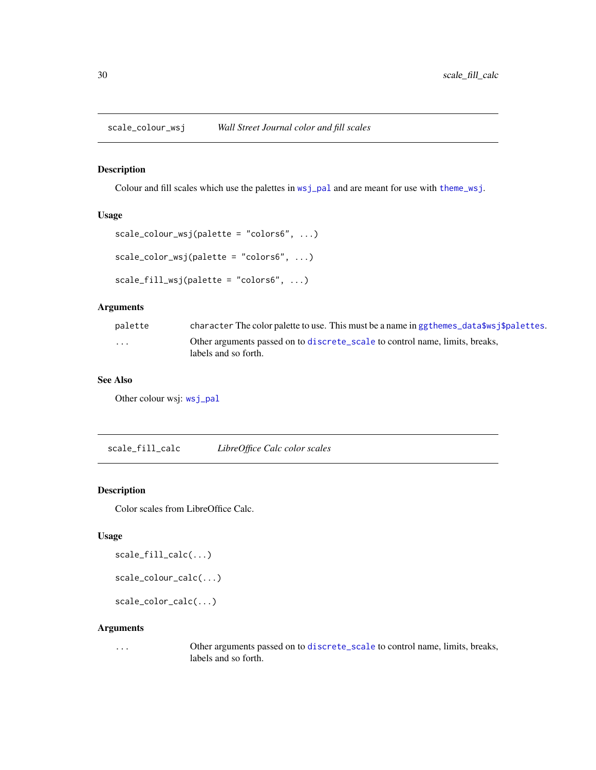<span id="page-29-2"></span><span id="page-29-0"></span>scale\_colour\_wsj *Wall Street Journal color and fill scales*

## Description

Colour and fill scales which use the palettes in  $wsj$ -pal and are meant for use with [theme\\_wsj](#page-59-1).

## Usage

```
scale_colour_wsj(palette = "colors6", ...)
scale_color_wsj(palette = "colors6", ...)
scale_fill_wsj(palette = "colors6", ...)
```
## Arguments

| palette  | character The color palette to use. This must be a name in ggthemes_data\$ws $\frac{1}{2}$ spalettes. |
|----------|-------------------------------------------------------------------------------------------------------|
| $\cdots$ | Other arguments passed on to discrete_scale to control name, limits, breaks,<br>labels and so forth.  |

## See Also

Other colour wsj: [wsj\\_pal](#page-61-1)

<span id="page-29-1"></span>scale\_fill\_calc *LibreOffice Calc color scales*

## Description

Color scales from LibreOffice Calc.

#### Usage

```
scale_fill_calc(...)
```

```
scale_colour_calc(...)
```
scale\_color\_calc(...)

#### Arguments

... Other arguments passed on to [discrete\\_scale](#page-0-0) to control name, limits, breaks, labels and so forth.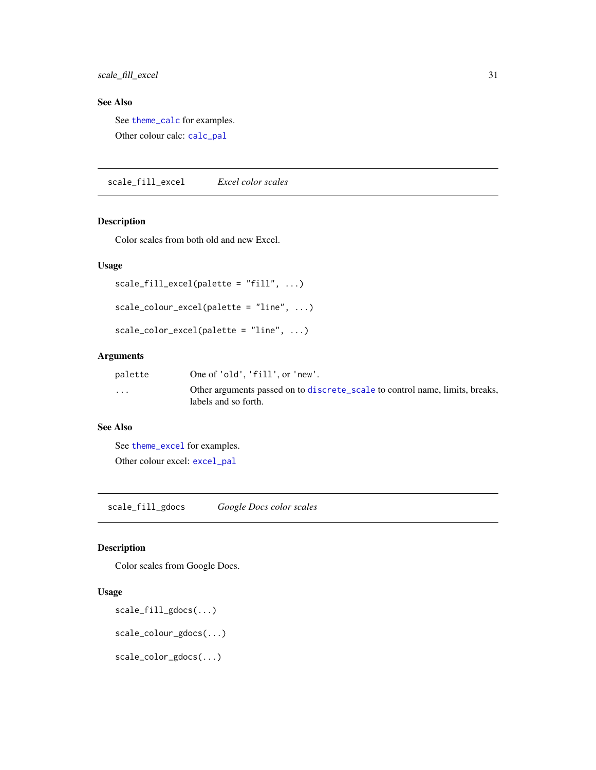<span id="page-30-0"></span>scale\_fill\_excel 31

## See Also

See [theme\\_calc](#page-45-1) for examples.

Other colour calc: [calc\\_pal](#page-5-1)

<span id="page-30-1"></span>scale\_fill\_excel *Excel color scales*

#### Description

Color scales from both old and new Excel.

## Usage

```
scale_fill_excel(palette = "fill", ...)
```

```
scale_colour_excel(palette = "line", ...)
```

```
scale_color_excel(palette = "line", ...)
```
## Arguments

| palette              | One of 'old'. 'fill'. or 'new'.                                                                      |
|----------------------|------------------------------------------------------------------------------------------------------|
| $\ddot{\phantom{0}}$ | Other arguments passed on to discrete_scale to control name, limits, breaks,<br>labels and so forth. |

## See Also

```
See theme_excel for examples.
Other colour excel: excel_pal
```
<span id="page-30-2"></span>scale\_fill\_gdocs *Google Docs color scales*

## Description

Color scales from Google Docs.

#### Usage

```
scale_fill_gdocs(...)
```
scale\_colour\_gdocs(...)

scale\_color\_gdocs(...)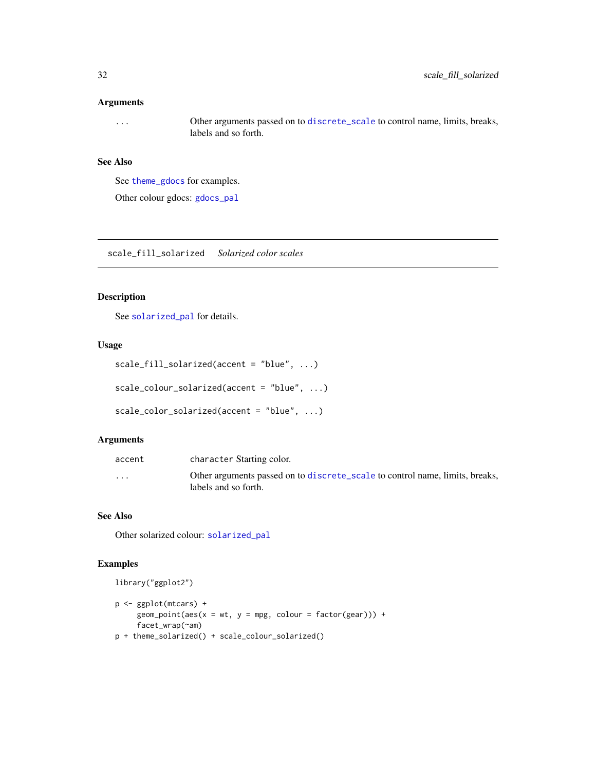#### <span id="page-31-0"></span>Arguments

... Other arguments passed on to [discrete\\_scale](#page-0-0) to control name, limits, breaks, labels and so forth.

## See Also

See [theme\\_gdocs](#page-50-1) for examples.

Other colour gdocs: [gdocs\\_pal](#page-14-2)

<span id="page-31-1"></span>scale\_fill\_solarized *Solarized color scales*

#### Description

See [solarized\\_pal](#page-38-1) for details.

#### Usage

```
scale_fill_solarized(accent = "blue", ...)
scale_colour_solarized(accent = "blue", ...)
scale_color_solarized(accent = "blue", ...)
```
## Arguments

| accent   | character Starting color.                                                                            |
|----------|------------------------------------------------------------------------------------------------------|
| $\cdots$ | Other arguments passed on to discrete_scale to control name, limits, breaks,<br>labels and so forth. |

#### See Also

Other solarized colour: [solarized\\_pal](#page-38-1)

## Examples

library("ggplot2")

```
p <- ggplot(mtcars) +
     geom\_point(aes(x = wt, y = mpg, colour = factor(gear))) +facet_wrap(~am)
p + theme_solarized() + scale_colour_solarized()
```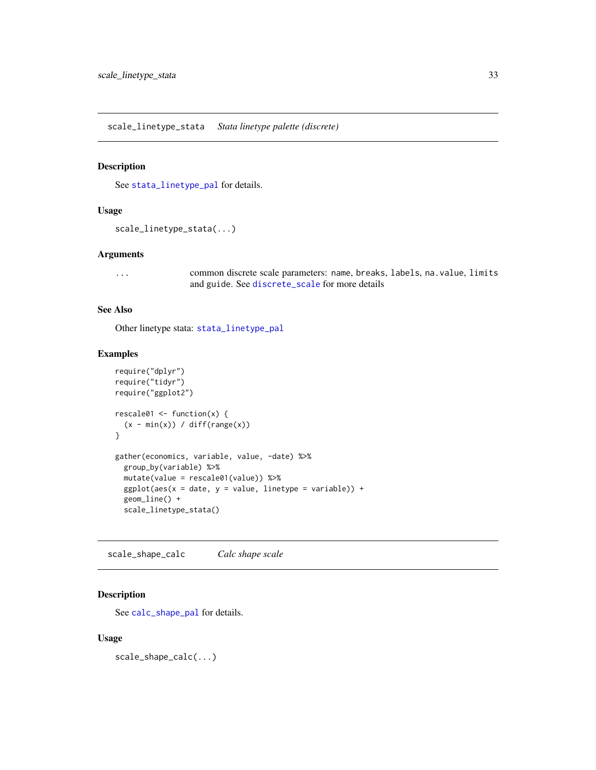<span id="page-32-2"></span><span id="page-32-0"></span>scale\_linetype\_stata *Stata linetype palette (discrete)*

### Description

See [stata\\_linetype\\_pal](#page-39-2) for details.

#### Usage

```
scale_linetype_stata(...)
```
#### Arguments

... common discrete scale parameters: name, breaks, labels, na.value, limits and guide. See [discrete\\_scale](#page-0-0) for more details

## See Also

Other linetype stata: [stata\\_linetype\\_pal](#page-39-2)

#### Examples

```
require("dplyr")
require("tidyr")
require("ggplot2")
rescale@1 \leftarrow function(x) {
  (x - min(x)) / diff(range(x))}
gather(economics, variable, value, -date) %>%
  group_by(variable) %>%
  mutate(value = rescale01(value)) %>%
  ggplot(aes(x = date, y = value, linetype = variable)) +geom_line() +
  scale_linetype_stata()
```
<span id="page-32-1"></span>scale\_shape\_calc *Calc shape scale*

#### Description

See [calc\\_shape\\_pal](#page-5-2) for details.

#### Usage

scale\_shape\_calc(...)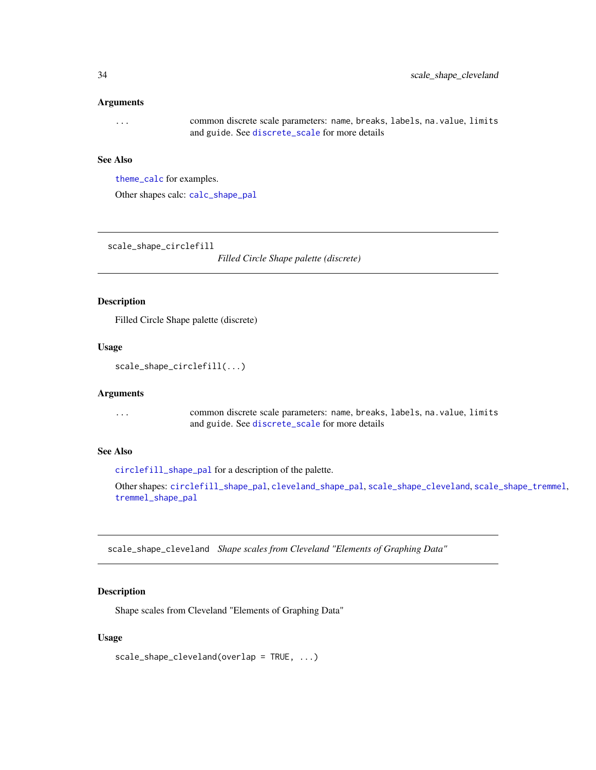#### <span id="page-33-0"></span>**Arguments**

... common discrete scale parameters: name, breaks, labels, na.value, limits and guide. See [discrete\\_scale](#page-0-0) for more details

## See Also

[theme\\_calc](#page-45-1) for examples.

Other shapes calc: [calc\\_shape\\_pal](#page-5-2)

<span id="page-33-1"></span>scale\_shape\_circlefill

*Filled Circle Shape palette (discrete)*

#### Description

Filled Circle Shape palette (discrete)

## Usage

```
scale_shape_circlefill(...)
```
#### Arguments

... common discrete scale parameters: name, breaks, labels, na.value, limits and guide. See [discrete\\_scale](#page-0-0) for more details

## See Also

[circlefill\\_shape\\_pal](#page-7-1) for a description of the palette.

Other shapes: [circlefill\\_shape\\_pal](#page-7-1), [cleveland\\_shape\\_pal](#page-8-1), [scale\\_shape\\_cleveland](#page-33-2), [scale\\_shape\\_tremmel](#page-35-1), [tremmel\\_shape\\_pal](#page-60-1)

<span id="page-33-2"></span>scale\_shape\_cleveland *Shape scales from Cleveland "Elements of Graphing Data"*

#### Description

Shape scales from Cleveland "Elements of Graphing Data"

## Usage

```
scale_shape_cleveland(overlap = TRUE, ...)
```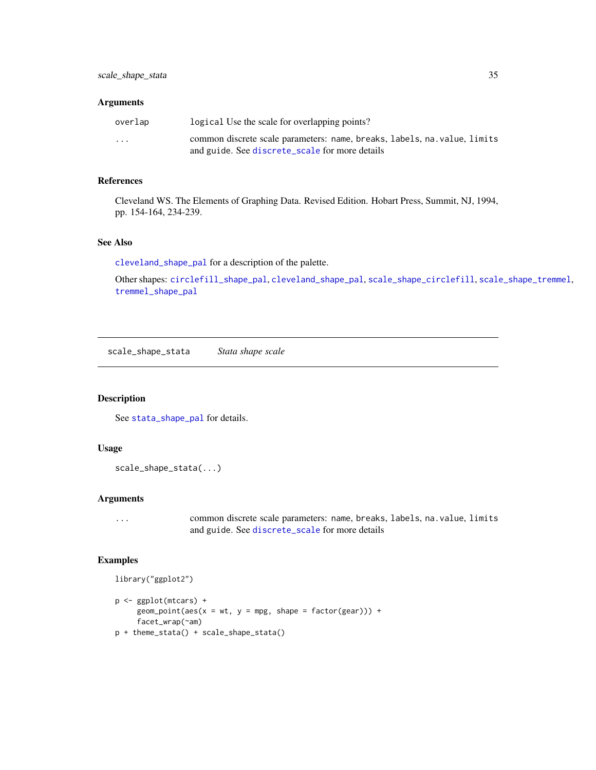#### <span id="page-34-0"></span>Arguments

| overlap                 | logical Use the scale for overlapping points?                             |
|-------------------------|---------------------------------------------------------------------------|
| $\cdot$ $\cdot$ $\cdot$ | common discrete scale parameters: name, breaks, labels, na. value, limits |
|                         | and guide. See discrete_scale for more details                            |

## References

Cleveland WS. The Elements of Graphing Data. Revised Edition. Hobart Press, Summit, NJ, 1994, pp. 154-164, 234-239.

#### See Also

[cleveland\\_shape\\_pal](#page-8-1) for a description of the palette.

Other shapes: [circlefill\\_shape\\_pal](#page-7-1), [cleveland\\_shape\\_pal](#page-8-1), [scale\\_shape\\_circlefill](#page-33-1), [scale\\_shape\\_tremmel](#page-35-1), [tremmel\\_shape\\_pal](#page-60-1)

<span id="page-34-1"></span>scale\_shape\_stata *Stata shape scale*

## Description

See [stata\\_shape\\_pal](#page-40-1) for details.

## Usage

```
scale_shape_stata(...)
```
## Arguments

... common discrete scale parameters: name, breaks, labels, na.value, limits and guide. See [discrete\\_scale](#page-0-0) for more details

```
library("ggplot2")
```

```
p <- ggplot(mtcars) +
     geom\_point(aes(x = wt, y = mpg, shape = factor(gear))) +facet_wrap(~am)
p + theme_stata() + scale_shape_stata()
```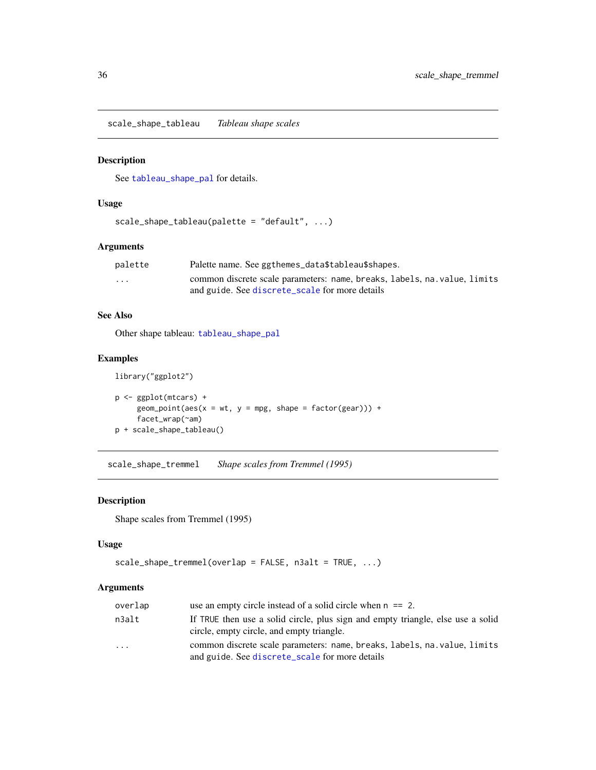<span id="page-35-2"></span><span id="page-35-0"></span>scale\_shape\_tableau *Tableau shape scales*

## Description

See [tableau\\_shape\\_pal](#page-44-1) for details.

## Usage

```
scale_shape_tableau(palette = "default", ...)
```
## Arguments

| palette                 | Palette name. See ggthemes_data\$tableau\$shapes.                         |
|-------------------------|---------------------------------------------------------------------------|
| $\cdot$ $\cdot$ $\cdot$ | common discrete scale parameters: name, breaks, labels, na. value, limits |
|                         | and guide. See discrete_scale for more details                            |

## See Also

Other shape tableau: [tableau\\_shape\\_pal](#page-44-1)

## Examples

```
library("ggplot2")
```

```
p <- ggplot(mtcars) +
     geom_point(aes(x = wt, y = mpg, shape = factor(gear))) +
     facet_wrap(~am)
p + scale_shape_tableau()
```
<span id="page-35-1"></span>scale\_shape\_tremmel *Shape scales from Tremmel (1995)*

## Description

Shape scales from Tremmel (1995)

## Usage

```
scale_shape_tremmel(overlap = FALSE, n3alt = TRUE, ...)
```
## Arguments

| overlap | use an empty circle instead of a solid circle when $n == 2$ .                                                                |
|---------|------------------------------------------------------------------------------------------------------------------------------|
| n3alt   | If TRUE then use a solid circle, plus sign and empty triangle, else use a solid<br>circle, empty circle, and empty triangle. |
| .       | common discrete scale parameters: name, breaks, labels, na. value, limits<br>and guide. See discrete_scale for more details  |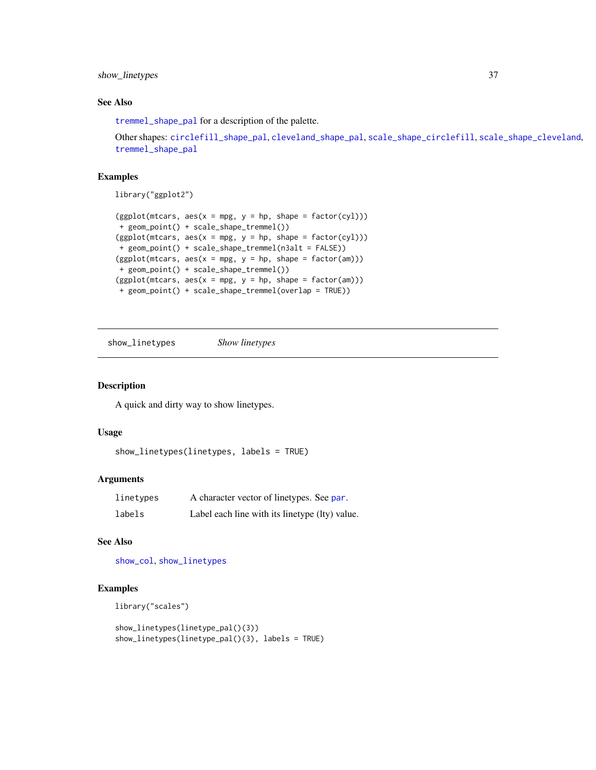## <span id="page-36-0"></span>show\_linetypes 37

## See Also

[tremmel\\_shape\\_pal](#page-60-1) for a description of the palette.

```
Other shapes: circlefill_shape_pal, cleveland_shape_pal, scale_shape_circlefill, scale_shape_cleveland,
tremmel_shape_pal
```
## Examples

library("ggplot2")

```
(ggplot(mtcars, aes(x = mp, y = hp, shape = factor(cyl)))+ geom_point() + scale_shape_tremmel())
(ggplot(mtcars, aes(x = mp, y = hp, shape = factor(cyl)))+ geom_point() + scale_shape_tremmel(n3alt = FALSE))
(ggplot(mtcars, aes(x = mpg, y = hp, shape = factor(am)))+ geom_point() + scale_shape_tremmel())
(ggplot(mtcars, aes(x = mp, y = hp, shape = factor(am)))+ geom_point() + scale_shape_tremmel(overlap = TRUE))
```
<span id="page-36-1"></span>show\_linetypes *Show linetypes*

## Description

A quick and dirty way to show linetypes.

## Usage

```
show_linetypes(linetypes, labels = TRUE)
```
#### Arguments

| linetypes | A character vector of linetypes. See par.      |
|-----------|------------------------------------------------|
| labels    | Label each line with its linetype (lty) value. |

## See Also

[show\\_col](#page-0-0), [show\\_linetypes](#page-36-1)

```
library("scales")
```

```
show_linetypes(linetype_pal()(3))
show_linetypes(linetype_pal()(3), labels = TRUE)
```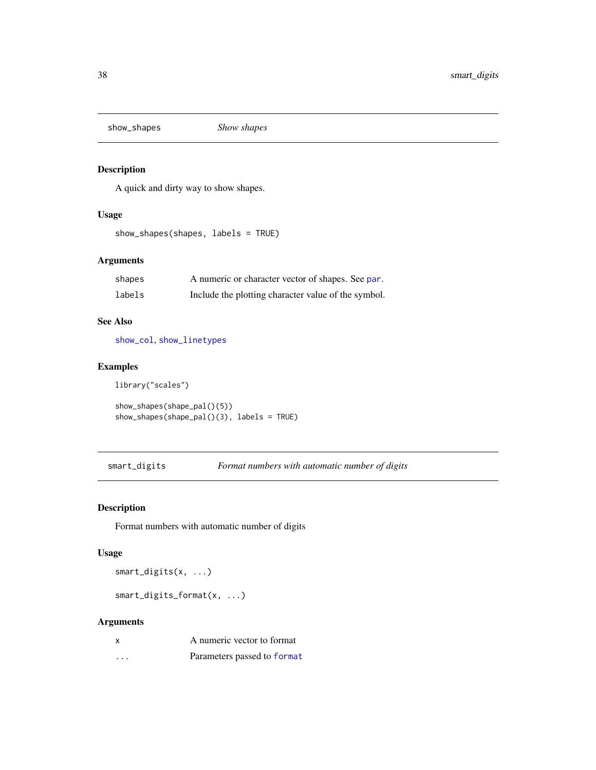<span id="page-37-0"></span>show\_shapes *Show shapes*

## Description

A quick and dirty way to show shapes.

## Usage

show\_shapes(shapes, labels = TRUE)

## Arguments

| shapes | A numeric or character vector of shapes. See par.   |
|--------|-----------------------------------------------------|
| labels | Include the plotting character value of the symbol. |

## See Also

[show\\_col](#page-0-0), [show\\_linetypes](#page-36-1)

## Examples

library("scales")

```
show_shapes(shape_pal()(5))
show_shapes(shape_pal()(3), labels = TRUE)
```
smart\_digits *Format numbers with automatic number of digits*

## Description

Format numbers with automatic number of digits

## Usage

smart\_digits(x, ...)

smart\_digits\_format(x, ...)

## Arguments

|   | A numeric vector to format  |
|---|-----------------------------|
| . | Parameters passed to format |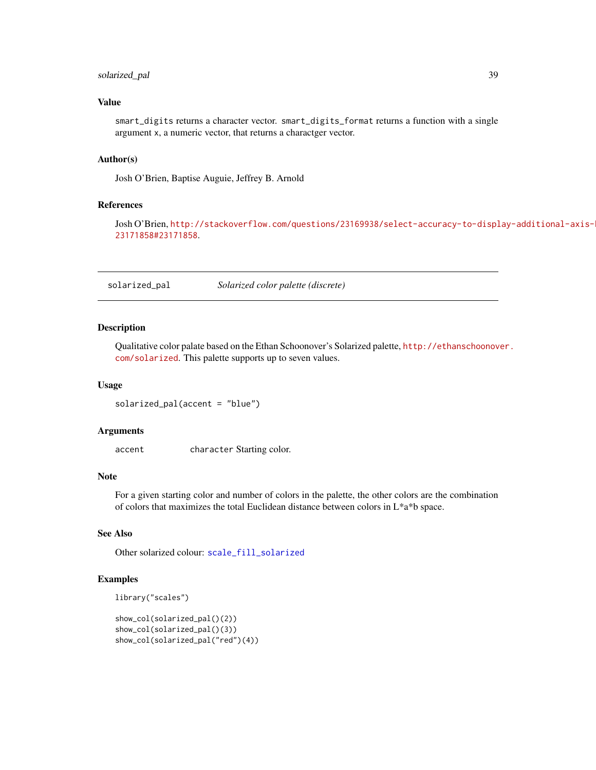## <span id="page-38-0"></span>solarized\_pal 39

## Value

smart\_digits returns a character vector. smart\_digits\_format returns a function with a single argument x, a numeric vector, that returns a charactger vector.

## Author(s)

Josh O'Brien, Baptise Auguie, Jeffrey B. Arnold

#### References

Josh O'Brien, [http://stackoverflow.com/questions/23169938/select-accuracy-to-displ](http://stackoverflow.com/questions/23169938/select-accuracy-to-display-additional-axis-breaks/23171858#23171858)ay-additional-axis-[23171858#23171858](http://stackoverflow.com/questions/23169938/select-accuracy-to-display-additional-axis-breaks/23171858#23171858).

<span id="page-38-1"></span>solarized\_pal *Solarized color palette (discrete)*

#### Description

Qualitative color palate based on the Ethan Schoonover's Solarized palette, [http://ethanschoonov](http://ethanschoonover.com/solarized)er. [com/solarized](http://ethanschoonover.com/solarized). This palette supports up to seven values.

#### Usage

solarized\_pal(accent = "blue")

#### Arguments

accent character Starting color.

## Note

For a given starting color and number of colors in the palette, the other colors are the combination of colors that maximizes the total Euclidean distance between colors in L\*a\*b space.

#### See Also

Other solarized colour: [scale\\_fill\\_solarized](#page-31-1)

```
library("scales")
```

```
show_col(solarized_pal()(2))
show_col(solarized_pal()(3))
show_col(solarized_pal("red")(4))
```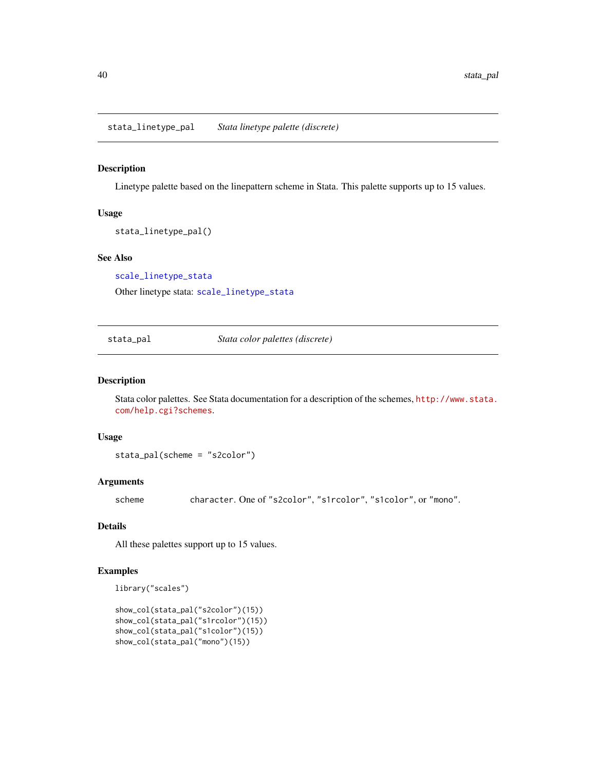<span id="page-39-2"></span><span id="page-39-0"></span>stata\_linetype\_pal *Stata linetype palette (discrete)*

#### Description

Linetype palette based on the linepattern scheme in Stata. This palette supports up to 15 values.

#### Usage

stata\_linetype\_pal()

#### See Also

[scale\\_linetype\\_stata](#page-32-2)

Other linetype stata: [scale\\_linetype\\_stata](#page-32-2)

<span id="page-39-1"></span>stata\_pal *Stata color palettes (discrete)*

## Description

Stata color palettes. See Stata documentation for a description of the schemes, [http://www.stata.](http://www.stata.com/help.cgi?schemes) [com/help.cgi?schemes](http://www.stata.com/help.cgi?schemes).

#### Usage

```
stata_pal(scheme = "s2color")
```
## Arguments

scheme character. One of "s2color", "s1rcolor", "s1color", or "mono".

#### Details

All these palettes support up to 15 values.

```
library("scales")
```

```
show_col(stata_pal("s2color")(15))
show_col(stata_pal("s1rcolor")(15))
show_col(stata_pal("s1color")(15))
show_col(stata_pal("mono")(15))
```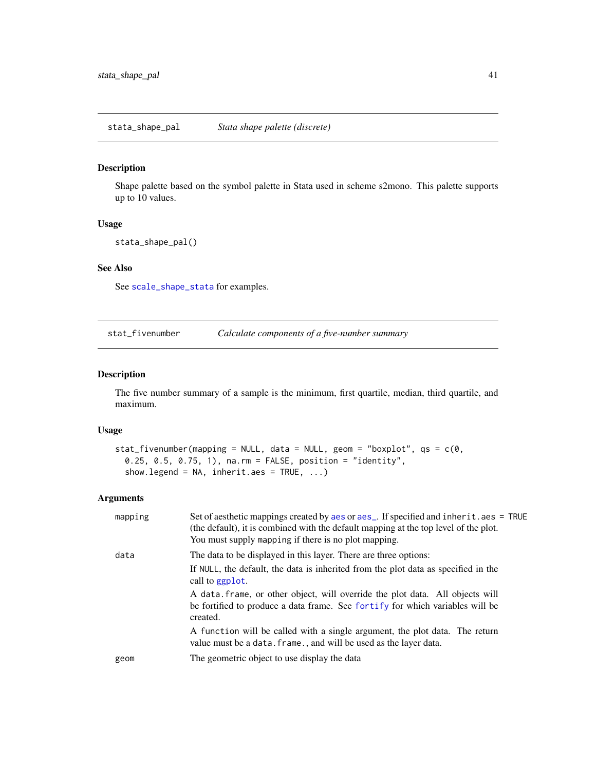## <span id="page-40-1"></span><span id="page-40-0"></span>Description

Shape palette based on the symbol palette in Stata used in scheme s2mono. This palette supports up to 10 values.

## Usage

stata\_shape\_pal()

## See Also

See [scale\\_shape\\_stata](#page-34-1) for examples.

stat\_fivenumber *Calculate components of a five-number summary*

## Description

The five number summary of a sample is the minimum, first quartile, median, third quartile, and maximum.

#### Usage

```
stat_fivenumber(mapping = NULL, data = NULL, geom = "boxplot", qs = c(0,0.25, 0.5, 0.75, 1), na.rm = FALSE, position = "identity",
  show.legend = NA, inherit.aes = TRUE, ...)
```
## Arguments

| mapping | Set of aesthetic mappings created by aes or aes_. If specified and inherit.aes = TRUE<br>(the default), it is combined with the default mapping at the top level of the plot.<br>You must supply mapping if there is no plot mapping. |
|---------|---------------------------------------------------------------------------------------------------------------------------------------------------------------------------------------------------------------------------------------|
| data    | The data to be displayed in this layer. There are three options:                                                                                                                                                                      |
|         | If NULL, the default, the data is inherited from the plot data as specified in the<br>call to ggplot.                                                                                                                                 |
|         | A data frame, or other object, will override the plot data. All objects will<br>be fortified to produce a data frame. See fortify for which variables will be<br>created.                                                             |
|         | A function will be called with a single argument, the plot data. The return<br>value must be a data. frame., and will be used as the layer data.                                                                                      |
| geom    | The geometric object to use display the data                                                                                                                                                                                          |
|         |                                                                                                                                                                                                                                       |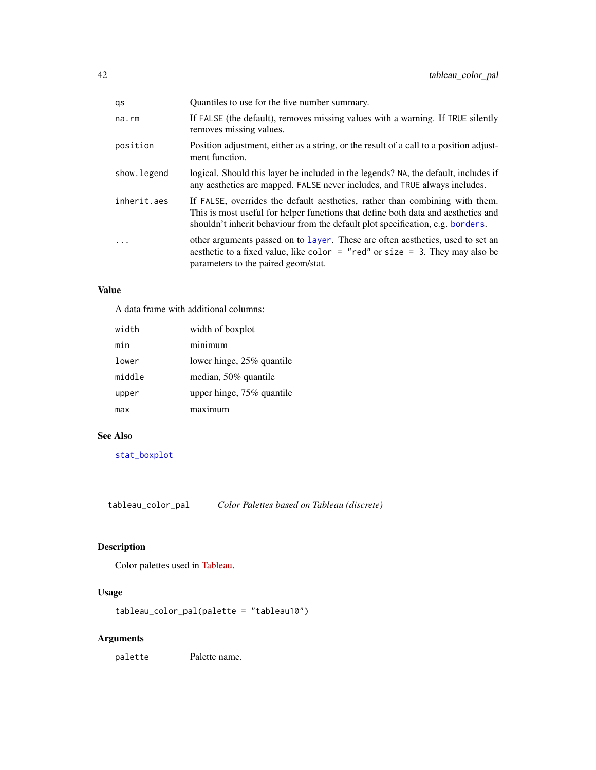<span id="page-41-0"></span>

| Quantiles to use for the five number summary.                                                                                                                                                                                                       |
|-----------------------------------------------------------------------------------------------------------------------------------------------------------------------------------------------------------------------------------------------------|
| If FALSE (the default), removes missing values with a warning. If TRUE silently<br>removes missing values.                                                                                                                                          |
| Position adjustment, either as a string, or the result of a call to a position adjust-<br>ment function.                                                                                                                                            |
| logical. Should this layer be included in the legends? NA, the default, includes if<br>any aesthetics are mapped. FALSE never includes, and TRUE always includes.                                                                                   |
| If FALSE, overrides the default aesthetics, rather than combining with them.<br>This is most useful for helper functions that define both data and aesthetics and<br>shouldn't inherit behaviour from the default plot specification, e.g. borders. |
| other arguments passed on to layer. These are often aesthetics, used to set an<br>aesthetic to a fixed value, like color = "red" or size = 3. They may also be<br>parameters to the paired geom/stat.                                               |
|                                                                                                                                                                                                                                                     |

## Value

A data frame with additional columns:

| width  | width of boxplot          |
|--------|---------------------------|
| min    | minimum                   |
| lower  | lower hinge, 25% quantile |
| middle | median, 50% quantile      |
| upper  | upper hinge, 75% quantile |
| max    | maximum                   |

## See Also

[stat\\_boxplot](#page-0-0)

<span id="page-41-1"></span>tableau\_color\_pal *Color Palettes based on Tableau (discrete)*

## Description

Color palettes used in [Tableau.](http://www.tableausoftware.com/)

## Usage

tableau\_color\_pal(palette = "tableau10")

## Arguments

palette Palette name.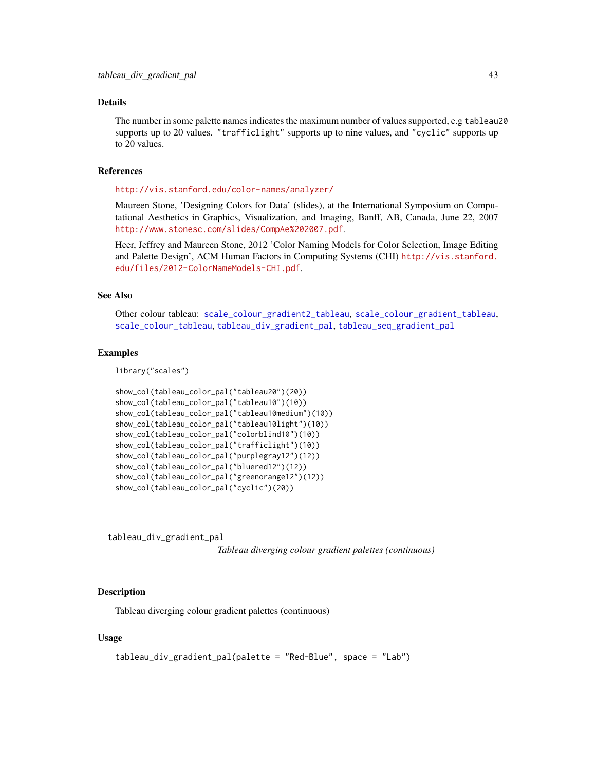#### <span id="page-42-0"></span>Details

The number in some palette names indicates the maximum number of values supported, e.g tableau20 supports up to 20 values. "trafficlight" supports up to nine values, and "cyclic" supports up to 20 values.

#### References

<http://vis.stanford.edu/color-names/analyzer/>

Maureen Stone, 'Designing Colors for Data' (slides), at the International Symposium on Computational Aesthetics in Graphics, Visualization, and Imaging, Banff, AB, Canada, June 22, 2007 <http://www.stonesc.com/slides/CompAe%202007.pdf>.

Heer, Jeffrey and Maureen Stone, 2012 'Color Naming Models for Color Selection, Image Editing and Palette Design', ACM Human Factors in Computing Systems (CHI) [http://vis.stanford.](http://vis.stanford.edu/files/2012-ColorNameModels-CHI.pdf) [edu/files/2012-ColorNameModels-CHI.pdf](http://vis.stanford.edu/files/2012-ColorNameModels-CHI.pdf).

#### See Also

Other colour tableau: [scale\\_colour\\_gradient2\\_tableau](#page-24-1), [scale\\_colour\\_gradient\\_tableau](#page-25-1), [scale\\_colour\\_tableau](#page-28-2), [tableau\\_div\\_gradient\\_pal](#page-42-1), [tableau\\_seq\\_gradient\\_pal](#page-43-1)

#### Examples

library("scales")

```
show_col(tableau_color_pal("tableau20")(20))
show_col(tableau_color_pal("tableau10")(10))
show_col(tableau_color_pal("tableau10medium")(10))
show_col(tableau_color_pal("tableau10light")(10))
show_col(tableau_color_pal("colorblind10")(10))
show_col(tableau_color_pal("trafficlight")(10))
show_col(tableau_color_pal("purplegray12")(12))
show_col(tableau_color_pal("bluered12")(12))
show_col(tableau_color_pal("greenorange12")(12))
show_col(tableau_color_pal("cyclic")(20))
```
<span id="page-42-1"></span>tableau\_div\_gradient\_pal

*Tableau diverging colour gradient palettes (continuous)*

## Description

Tableau diverging colour gradient palettes (continuous)

#### Usage

```
tableau_div_gradient_pal(palette = "Red-Blue", space = "Lab")
```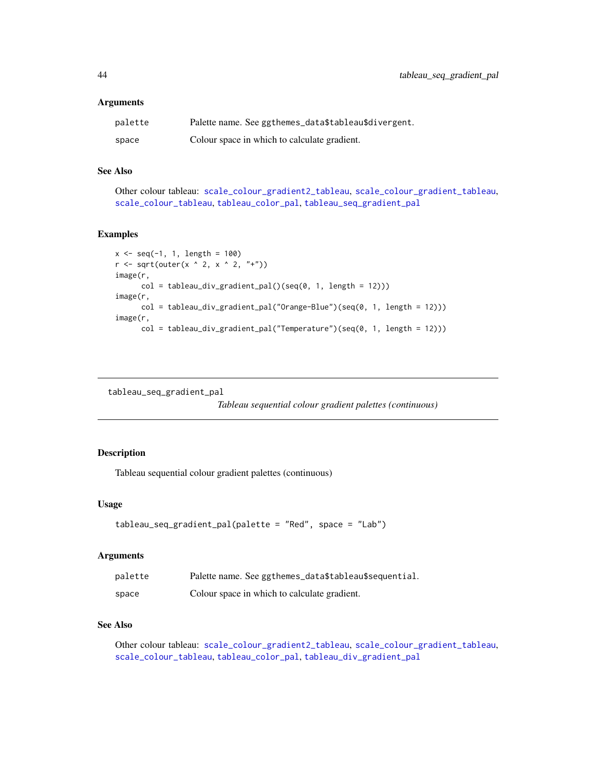#### <span id="page-43-0"></span>**Arguments**

| palette | Palette name. See ggthemes_data\$tableau\$divergent. |
|---------|------------------------------------------------------|
| space   | Colour space in which to calculate gradient.         |

## See Also

Other colour tableau: [scale\\_colour\\_gradient2\\_tableau](#page-24-1), [scale\\_colour\\_gradient\\_tableau](#page-25-1), [scale\\_colour\\_tableau](#page-28-2), [tableau\\_color\\_pal](#page-41-1), [tableau\\_seq\\_gradient\\_pal](#page-43-1)

## Examples

```
x \leq -\text{seq}(-1, 1, \text{ length} = 100)r \leftarrow sqrt(out(x \land 2, x \land 2, "+")image(r,
      col = tableau_div_gradient_pal()(seq(0, 1, length = 12)))
image(r,
      col = tableau_div_gradient_pal("Orange-Blue")(seq(0, 1, length = 12)))
image(r,
      col = tableau_div_gradient_pal("Temperature")(seq(0, 1, length = 12)))
```
<span id="page-43-1"></span>tableau\_seq\_gradient\_pal

*Tableau sequential colour gradient palettes (continuous)*

#### Description

Tableau sequential colour gradient palettes (continuous)

#### Usage

```
tableau_seq_gradient_pal(palette = "Red", space = "Lab")
```
#### Arguments

| palette | Palette name. See ggthemes_data\$tableau\$sequential. |
|---------|-------------------------------------------------------|
| space   | Colour space in which to calculate gradient.          |

## See Also

Other colour tableau: [scale\\_colour\\_gradient2\\_tableau](#page-24-1), [scale\\_colour\\_gradient\\_tableau](#page-25-1), [scale\\_colour\\_tableau](#page-28-2), [tableau\\_color\\_pal](#page-41-1), [tableau\\_div\\_gradient\\_pal](#page-42-1)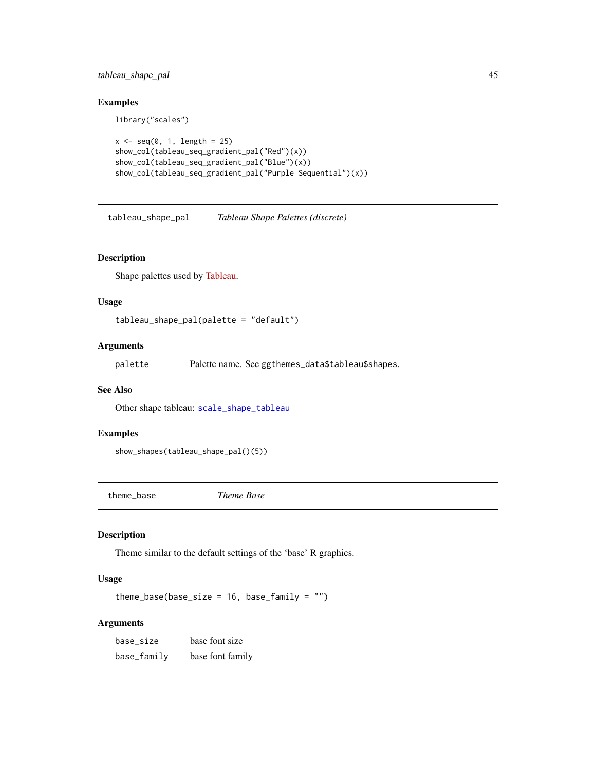## <span id="page-44-0"></span>tableau\_shape\_pal 45

## Examples

library("scales")

```
x \leftarrow \text{seq}(0, 1, \text{ length} = 25)show_col(tableau_seq_gradient_pal("Red")(x))
show_col(tableau_seq_gradient_pal("Blue")(x))
show_col(tableau_seq_gradient_pal("Purple Sequential")(x))
```
<span id="page-44-1"></span>tableau\_shape\_pal *Tableau Shape Palettes (discrete)*

## Description

Shape palettes used by [Tableau.](http://www.tableausoftware.com/)

## Usage

tableau\_shape\_pal(palette = "default")

## Arguments

palette Palette name. See ggthemes\_data\$tableau\$shapes.

#### See Also

Other shape tableau: [scale\\_shape\\_tableau](#page-35-2)

## Examples

```
show_shapes(tableau_shape_pal()(5))
```
<span id="page-44-2"></span>theme\_base *Theme Base*

## Description

Theme similar to the default settings of the 'base' R graphics.

## Usage

```
theme_base(base_size = 16, base_family = "")
```
#### Arguments

| base_size   | base font size   |
|-------------|------------------|
| base_family | base font family |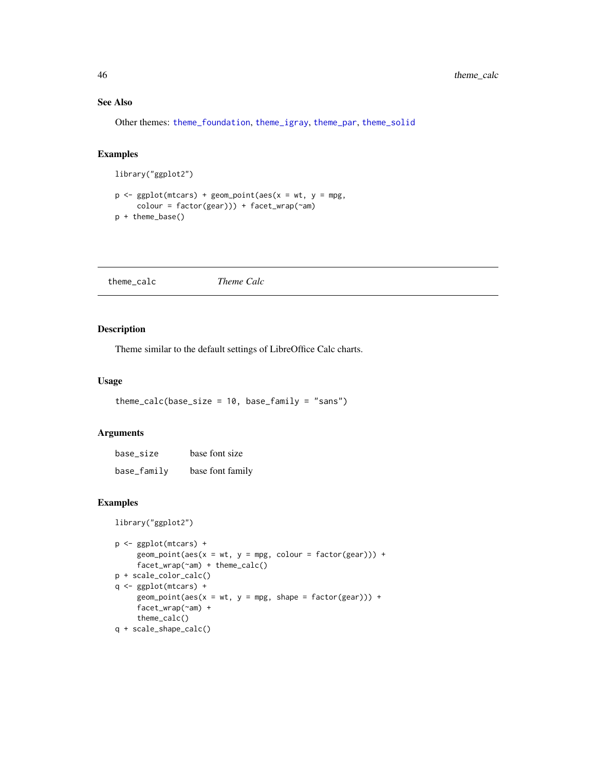## See Also

Other themes: [theme\\_foundation](#page-50-2), [theme\\_igray](#page-52-1), [theme\\_par](#page-55-1), [theme\\_solid](#page-57-1)

## Examples

```
library("ggplot2")
```

```
p \leq - ggplot(mtcars) + geom_point(aes(x = wt, y = mpg,
     colour = factor(gear))) + facet_wrap(~am)
p + theme_base()
```
<span id="page-45-1"></span>theme\_calc *Theme Calc*

## Description

Theme similar to the default settings of LibreOffice Calc charts.

## Usage

```
themecalc(base_size = 10, base-family = "sans")
```
#### Arguments

| base size   | base font size   |
|-------------|------------------|
| base_family | base font family |

```
library("ggplot2")
```

```
p <- ggplot(mtcars) +
     geom\_point(aes(x = wt, y = mpg, colour = factor(gear))) +facet_wrap(~am) + theme_calc()
p + scale_color_calc()
q <- ggplot(mtcars) +
     geom\_point(aes(x = wt, y = mpg, shape = factor(gear))) +facet_wrap(~am) +
     theme_calc()
q + scale_shape_calc()
```
<span id="page-45-0"></span>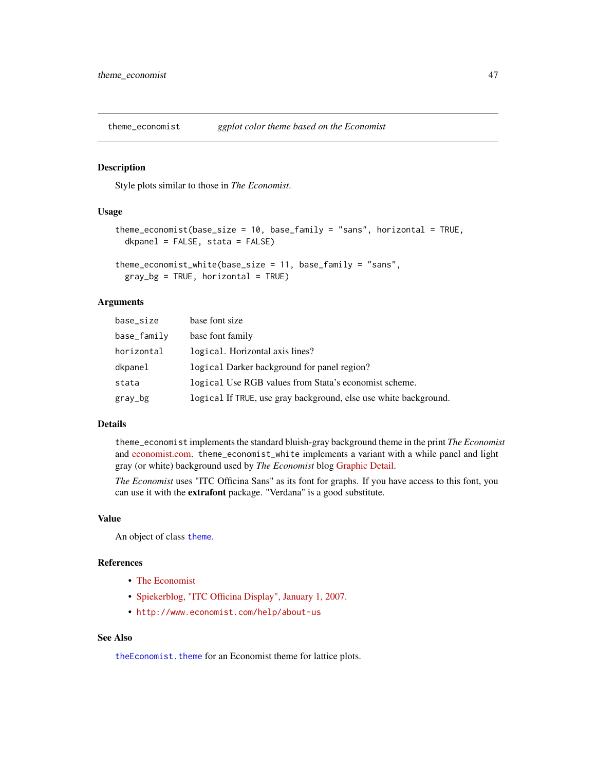<span id="page-46-1"></span><span id="page-46-0"></span>theme\_economist *ggplot color theme based on the Economist*

#### Description

Style plots similar to those in *The Economist*.

## Usage

```
theme_economist(base_size = 10, base_family = "sans", horizontal = TRUE,
  dkpanel = FALSE, stata = FALSE)
```

```
theme_economist_white(base_size = 11, base_family = "sans",
 gray_b = TRUE, horizontal = TRUE
```
#### Arguments

| base_size   | base font size                                                   |
|-------------|------------------------------------------------------------------|
| base_family | base font family                                                 |
| horizontal  | logical. Horizontal axis lines?                                  |
| dkpanel     | logical Darker background for panel region?                      |
| stata       | logical Use RGB values from Stata's economist scheme.            |
| gray_bg     | logical If TRUE, use gray background, else use white background. |

## Details

theme\_economist implements the standard bluish-gray background theme in the print *The Economist* and [economist.com.](http://economist.com) theme\_economist\_white implements a variant with a while panel and light gray (or white) background used by *The Economist* blog [Graphic Detail.](http://www.economist.com/blogs/graphicdetail)

*The Economist* uses "ITC Officina Sans" as its font for graphs. If you have access to this font, you can use it with the extrafont package. "Verdana" is a good substitute.

## Value

An object of class [theme](#page-0-0).

## References

- [The Economist](http://economist.com)
- [Spiekerblog, "ITC Officina Display", January 1, 2007.](http://spiekermann.com/en/itc-officina-display/)
- <http://www.economist.com/help/about-us>

## See Also

[theEconomist.theme](#page-0-0) for an Economist theme for lattice plots.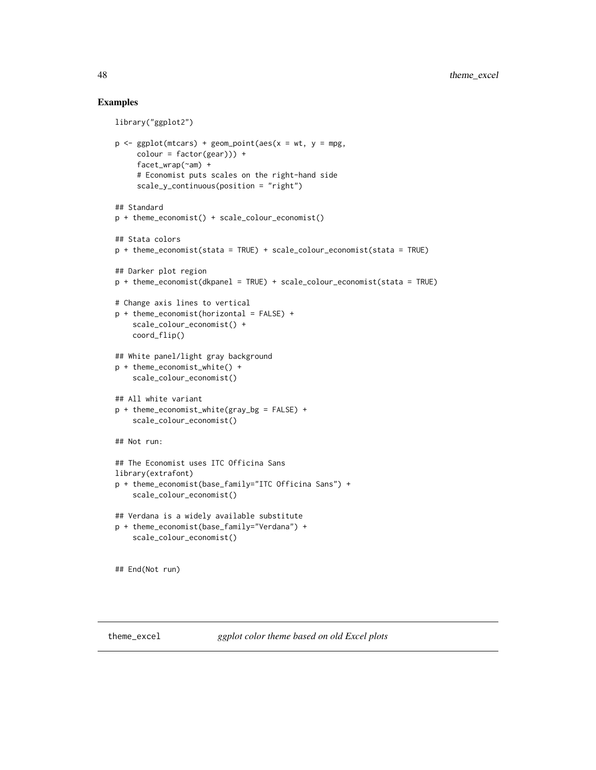```
library("ggplot2")
p \leq - ggplot(mtcars) + geom_point(aes(x = wt, y = mpg,
     color = factor(gear)) +facet_wrap(~am) +
     # Economist puts scales on the right-hand side
     scale_y_continuous(position = "right")
## Standard
p + theme_economist() + scale_colour_economist()
## Stata colors
p + theme_economist(stata = TRUE) + scale_colour_economist(stata = TRUE)
## Darker plot region
p + theme_economist(dkpanel = TRUE) + scale_colour_economist(stata = TRUE)
# Change axis lines to vertical
p + theme_economist(horizontal = FALSE) +
    scale_colour_economist() +
    coord_flip()
## White panel/light gray background
p + theme_economist_white() +
    scale_colour_economist()
## All white variant
p + theme_economist_white(gray_bg = FALSE) +
    scale_colour_economist()
## Not run:
## The Economist uses ITC Officina Sans
library(extrafont)
p + theme_economist(base_family="ITC Officina Sans") +
    scale_colour_economist()
## Verdana is a widely available substitute
p + theme_economist(base_family="Verdana") +
    scale_colour_economist()
## End(Not run)
```
<span id="page-47-1"></span>

<span id="page-47-0"></span>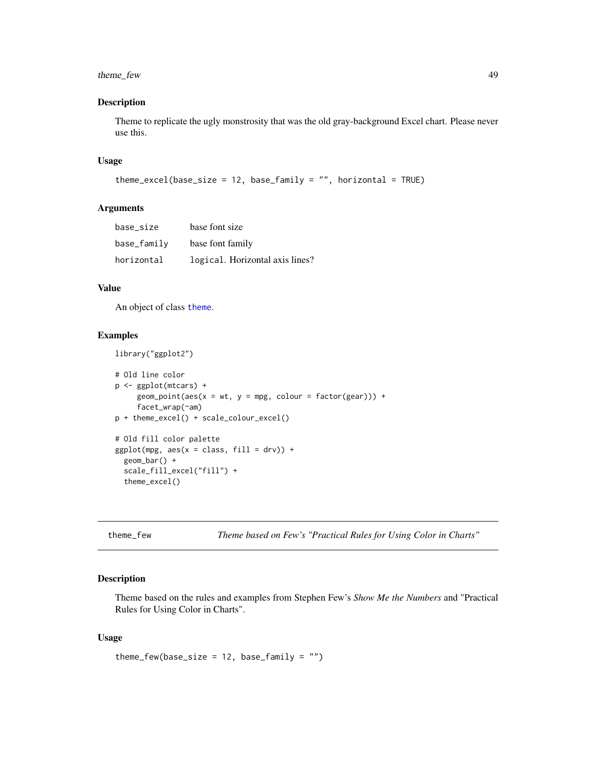## <span id="page-48-0"></span>theme\_few 49

#### Description

Theme to replicate the ugly monstrosity that was the old gray-background Excel chart. Please never use this.

#### Usage

```
theme_excel(base_size = 12, base_family = ", horizontal = TRUE)
```
## Arguments

| base size   | base font size                  |
|-------------|---------------------------------|
| base_family | base font family                |
| horizontal  | logical. Horizontal axis lines? |

## Value

An object of class [theme](#page-0-0).

#### Examples

```
library("ggplot2")
```

```
# Old line color
p <- ggplot(mtcars) +
     geom\_point(aes(x = wt, y = mpg, colour = factor(gear))) +facet_wrap(~am)
p + theme_excel() + scale_colour_excel()
# Old fill color palette
ggplot(mpg, aes(x = class, fill = dry)) +geom_bar() +
 scale_fill_excel("fill") +
 theme_excel()
```
theme\_few *Theme based on Few's "Practical Rules for Using Color in Charts"*

## Description

Theme based on the rules and examples from Stephen Few's *Show Me the Numbers* and "Practical Rules for Using Color in Charts".

## Usage

```
theme_few(base_size = 12, base_family = "")
```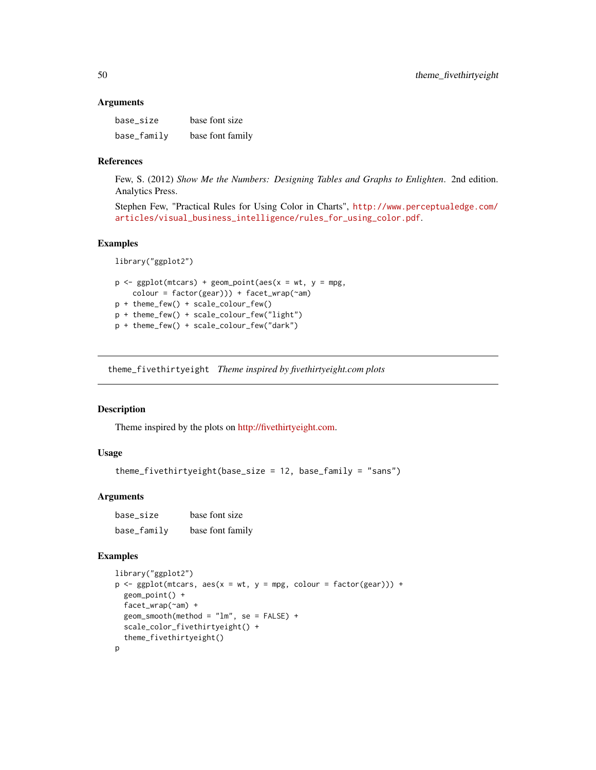#### <span id="page-49-0"></span>**Arguments**

| base_size   | base font size   |
|-------------|------------------|
| base_family | base font family |

#### References

Few, S. (2012) *Show Me the Numbers: Designing Tables and Graphs to Enlighten*. 2nd edition. Analytics Press.

Stephen Few, "Practical Rules for Using Color in Charts", [http://www.perceptualedge.com/](http://www.perceptualedge.com/articles/visual_business_intelligence/rules_for_using_color.pdf) [articles/visual\\_business\\_intelligence/rules\\_for\\_using\\_color.pdf](http://www.perceptualedge.com/articles/visual_business_intelligence/rules_for_using_color.pdf).

## Examples

```
library("ggplot2")
p \leq - ggplot(mtcars) + geom_point(aes(x = wt, y = mpg,
    colour = factor(gear))) + facet_wrap(~am)
p + theme_few() + scale_colour_few()
p + theme_few() + scale_colour_few("light")
p + theme_few() + scale_colour_few("dark")
```
<span id="page-49-1"></span>theme\_fivethirtyeight *Theme inspired by fivethirtyeight.com plots*

## Description

Theme inspired by the plots on [http://fivethirtyeight.com.](fivethirtyeight.com)

## Usage

```
theme_fivethirtyeight(base_size = 12, base_family = "sans")
```
## Arguments

| base_size   | base font size   |
|-------------|------------------|
| base_family | base font family |

```
library("ggplot2")
p \leq - ggplot(mtcars, \text{aes}(x = wt, y = mp, \text{ colour} = \text{factor}(year))) +geom_point() +
  facet_wrap(~am) +
  geom\_smooth(method = "lm", se = FALSE) +scale_color_fivethirtyeight() +
  theme_fivethirtyeight()
p
```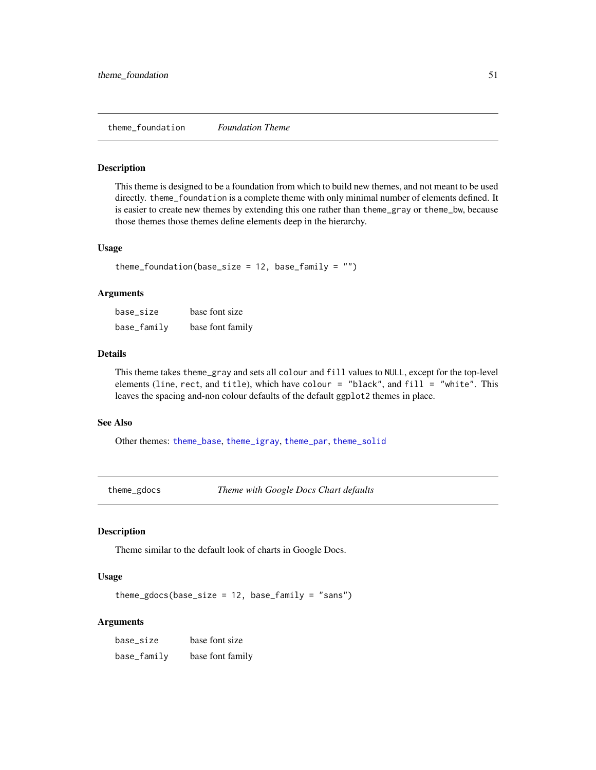#### <span id="page-50-2"></span><span id="page-50-0"></span>Description

This theme is designed to be a foundation from which to build new themes, and not meant to be used directly. theme\_foundation is a complete theme with only minimal number of elements defined. It is easier to create new themes by extending this one rather than theme\_gray or theme\_bw, because those themes those themes define elements deep in the hierarchy.

#### Usage

theme\_foundation(base\_size =  $12$ , base\_family =  $"$ )

#### Arguments

| base_size   | base font size   |
|-------------|------------------|
| base_family | base font family |

#### Details

This theme takes theme\_gray and sets all colour and fill values to NULL, except for the top-level elements (line, rect, and title), which have colour = "black", and fill = "white". This leaves the spacing and-non colour defaults of the default ggplot2 themes in place.

#### See Also

Other themes: [theme\\_base](#page-44-2), [theme\\_igray](#page-52-1), [theme\\_par](#page-55-1), [theme\\_solid](#page-57-1)

<span id="page-50-1"></span>theme\_gdocs *Theme with Google Docs Chart defaults*

#### Description

Theme similar to the default look of charts in Google Docs.

### Usage

theme\_gdocs(base\_size =  $12$ , base\_family = "sans")

#### Arguments

base\_size base font size base\_family base font family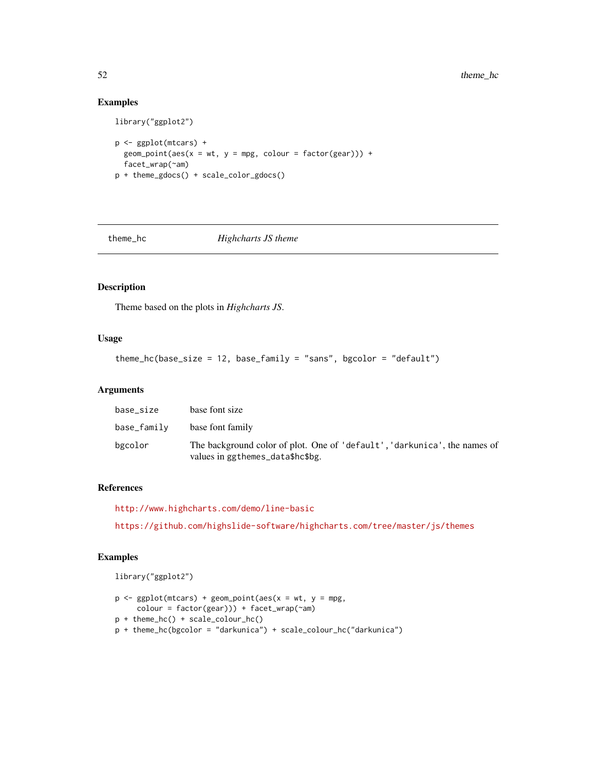## Examples

```
library("ggplot2")
p <- ggplot(mtcars) +
  geom\_point(aes(x = wt, y = mpg, colour = factor(gear))) +facet_wrap(~am)
p + theme_gdocs() + scale_color_gdocs()
```
<span id="page-51-1"></span>

theme\_hc *Highcharts JS theme*

#### Description

Theme based on the plots in *Highcharts JS*.

## Usage

theme\_hc(base\_size = 12, base\_family = "sans", bgcolor = "default")

## Arguments

| base_size   | base font size                                                                                                |
|-------------|---------------------------------------------------------------------------------------------------------------|
| base_family | base font family                                                                                              |
| bgcolor     | The background color of plot. One of 'default', 'darkunica', the names of<br>values in ggthemes_data\$hc\$bg. |

## References

<http://www.highcharts.com/demo/line-basic>

<https://github.com/highslide-software/highcharts.com/tree/master/js/themes>

## Examples

library("ggplot2")

```
p \leq - ggplot(mtcars) + geom_point(aes(x = wt, y = mpg,
     colour = factor(gear))) + facet_wrap(~am)
p + theme_hc() + scale_colour_hc()
p + theme_hc(bgcolor = "darkunica") + scale_colour_hc("darkunica")
```
<span id="page-51-0"></span>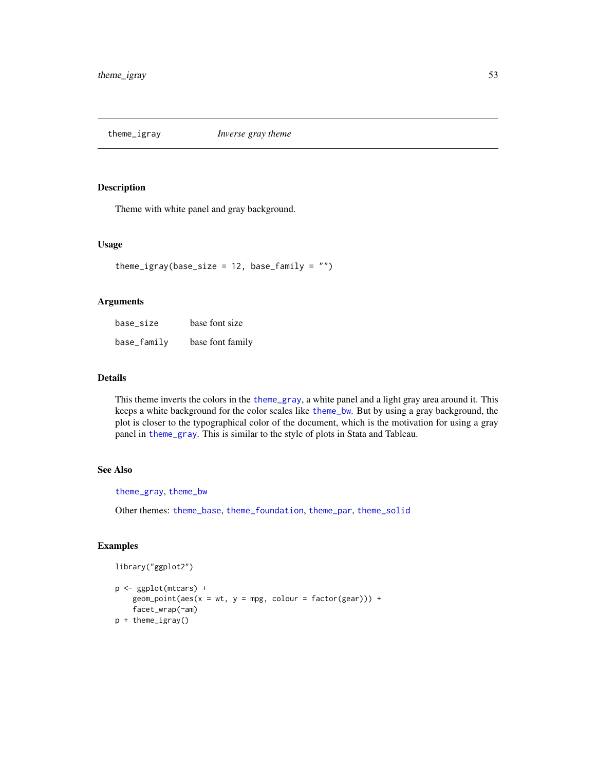<span id="page-52-1"></span><span id="page-52-0"></span>theme\_igray *Inverse gray theme*

## Description

Theme with white panel and gray background.

## Usage

```
theme_igray(base_size = 12, base_family = "")
```
## Arguments

| base_size   | base font size   |
|-------------|------------------|
| base_family | base font family |

## Details

This theme inverts the colors in the [theme\\_gray](#page-0-0), a white panel and a light gray area around it. This keeps a white background for the color scales like [theme\\_bw](#page-0-0). But by using a gray background, the plot is closer to the typographical color of the document, which is the motivation for using a gray panel in [theme\\_gray](#page-0-0). This is similar to the style of plots in Stata and Tableau.

## See Also

[theme\\_gray](#page-0-0), [theme\\_bw](#page-0-0)

Other themes: [theme\\_base](#page-44-2), [theme\\_foundation](#page-50-2), [theme\\_par](#page-55-1), [theme\\_solid](#page-57-1)

```
library("ggplot2")
```

```
p <- ggplot(mtcars) +
   geom\_point(aes(x = wt, y = mpg, colour = factor(gear))) +facet_wrap(~am)
p + theme_igray()
```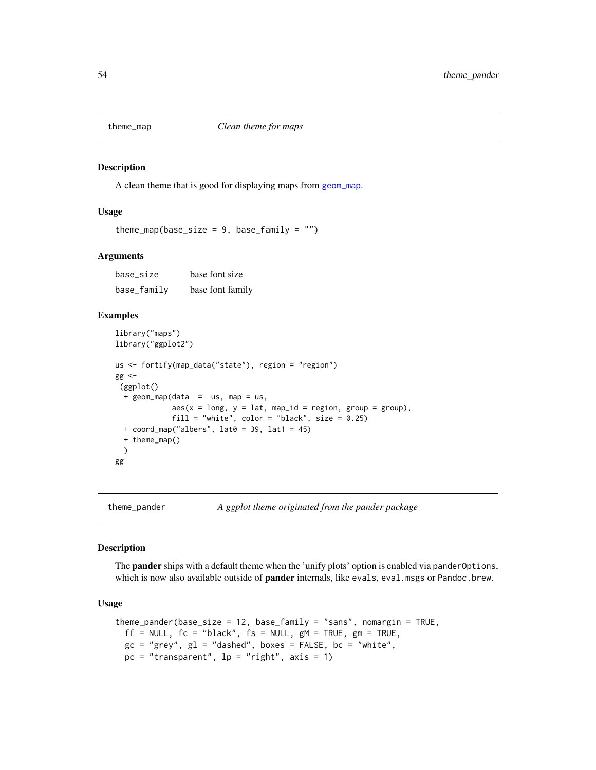<span id="page-53-0"></span>

#### Description

A clean theme that is good for displaying maps from [geom\\_map](#page-0-0).

#### Usage

```
theme_map(base_size = 9, base_family = "")
```
#### Arguments

base\_size base font size base\_family base font family

#### Examples

```
library("maps")
library("ggplot2")
us <- fortify(map_data("state"), region = "region")
gg < -(ggplot()
  + geom_map(data = us, map = us,
             aes(x = long, y = lat, map_id = region, group = group),fill = "white", color = "black", size = 0.25)
  + coord_map("albers", lat0 = 39, lat1 = 45)
  + theme_map()
  )
gg
```
<span id="page-53-1"></span>theme\_pander *A ggplot theme originated from the pander package*

#### Description

The **pander** ships with a default theme when the 'unify plots' option is enabled via pander Options, which is now also available outside of **pander** internals, like evals, eval.msgs or Pandoc.brew.

## Usage

```
theme_pander(base_size = 12, base_family = "sans", nomargin = TRUE,
 ff = NULL, fc = "black", fs = NULL, gM = TRUE, gm = TRUE,gc = "grey", gl = "dashed", boxes = FALSE, bc = "white",pc = "transparent", lp = "right", axis = 1)
```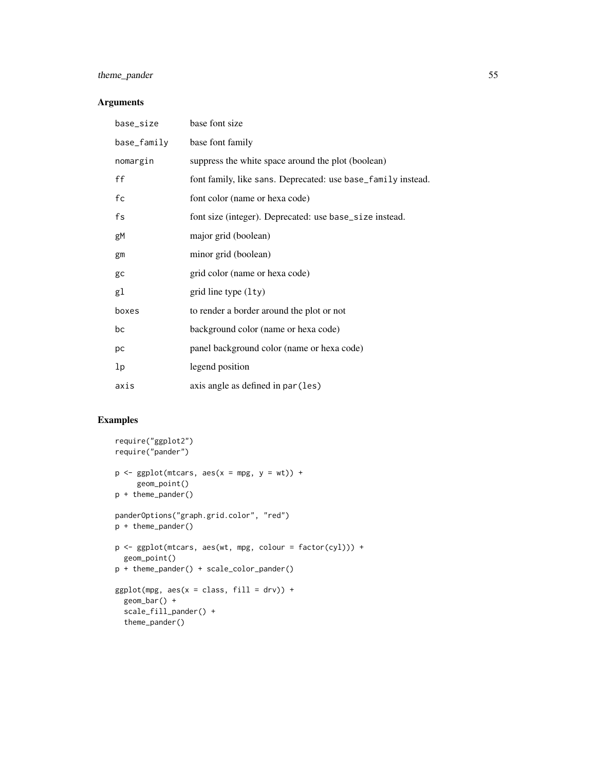## theme\_pander 55

## Arguments

| base_size   | base font size                                               |
|-------------|--------------------------------------------------------------|
| base_family | base font family                                             |
| nomargin    | suppress the white space around the plot (boolean)           |
| ff          | font family, like sans. Deprecated: use base_family instead. |
| fc          | font color (name or hexa code)                               |
| fs          | font size (integer). Deprecated: use base_size instead.      |
| gM          | major grid (boolean)                                         |
| gm          | minor grid (boolean)                                         |
| gc          | grid color (name or hexa code)                               |
| gl          | grid line type $(1ty)$                                       |
| boxes       | to render a border around the plot or not                    |
| bc          | background color (name or hexa code)                         |
| рc          | panel background color (name or hexa code)                   |
| lp          | legend position                                              |
| axis        | axis angle as defined in par (les)                           |

```
require("ggplot2")
require("pander")
p \leftarrow \text{ggplot}(\text{mtcars}, \text{aes}(x = \text{mpg}, y = \text{wt})) +geom_point()
p + theme_pander()
panderOptions("graph.grid.color", "red")
p + theme_pander()
p <- ggplot(mtcars, aes(wt, mpg, colour = factor(cyl))) +
  geom_point()
p + theme_pander() + scale_color_pander()
ggplot(mpg, aes(x = class, fill = dry)) +geom_bar() +
  scale_fill_pander() +
  theme_pander()
```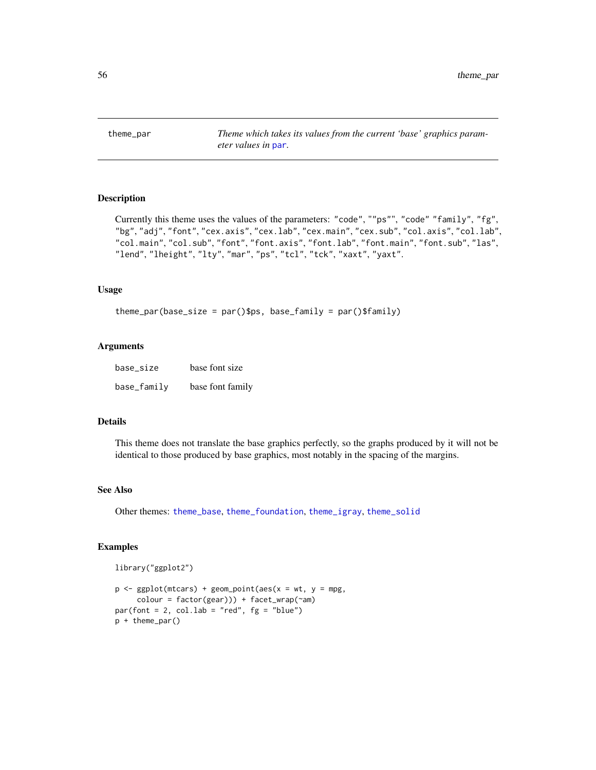<span id="page-55-1"></span><span id="page-55-0"></span>theme\_par *Theme which takes its values from the current 'base' graphics parameter values in* [par](#page-0-0)*.*

## Description

```
Currently this theme uses the values of the parameters: "code", ""ps"", "code" "family", "fg",
"bg", "adj", "font", "cex.axis", "cex.lab", "cex.main", "cex.sub", "col.axis", "col.lab",
"col.main", "col.sub", "font", "font.axis", "font.lab", "font.main", "font.sub", "las",
"lend", "lheight", "lty", "mar", "ps", "tcl", "tck", "xaxt", "yaxt".
```
#### Usage

```
theme_par(base_size = par()$ps, base_family = par()$family)
```
#### Arguments

| base size   | base font size   |
|-------------|------------------|
| base_family | base font family |

## Details

This theme does not translate the base graphics perfectly, so the graphs produced by it will not be identical to those produced by base graphics, most notably in the spacing of the margins.

#### See Also

Other themes: [theme\\_base](#page-44-2), [theme\\_foundation](#page-50-2), [theme\\_igray](#page-52-1), [theme\\_solid](#page-57-1)

```
library("ggplot2")
```

```
p \leq - ggplot(mtcars) + geom_point(aes(x = wt, y = mpg,
     color = factor(gear)) + facet_wrap(\text{ram})par(font = 2, col.lab = "red", fg = "blue")p + theme_par()
```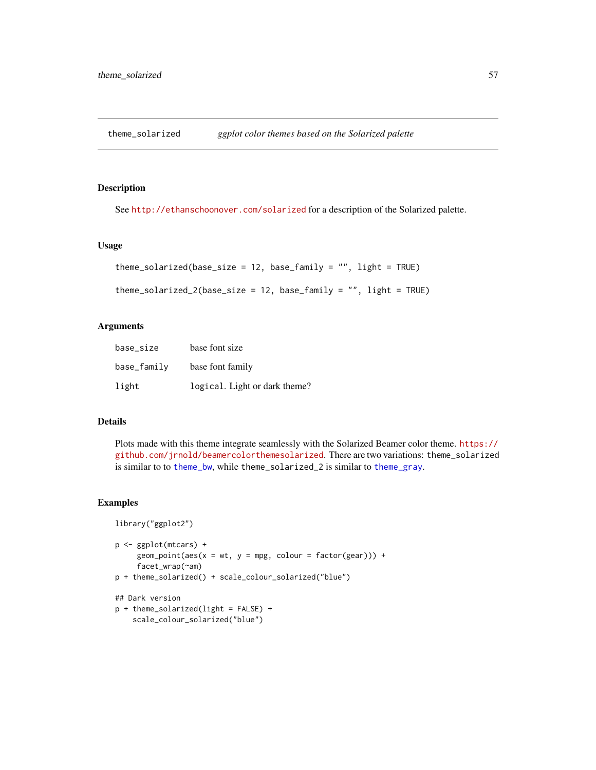<span id="page-56-0"></span>theme\_solarized *ggplot color themes based on the Solarized palette*

## Description

See <http://ethanschoonover.com/solarized> for a description of the Solarized palette.

#### Usage

```
theme_solarized(base_size = 12, base_family = ", light = TRUE)
```

```
theme_solarized_2(base_size = 12, base_family = "", light = TRUE)
```
## Arguments

| base_size   | base font size                |
|-------------|-------------------------------|
| base_family | base font family              |
| light       | logical. Light or dark theme? |

## Details

Plots made with this theme integrate seamlessly with the Solarized Beamer color theme. [https://](https://github.com/jrnold/beamercolorthemesolarized) [github.com/jrnold/beamercolorthemesolarized](https://github.com/jrnold/beamercolorthemesolarized). There are two variations: theme\_solarized is similar to to [theme\\_bw](#page-0-0), while theme\_solarized\_2 is similar to [theme\\_gray](#page-0-0).

```
library("ggplot2")
p <- ggplot(mtcars) +
     geom\_point(aes(x = wt, y = mpg, colour = factor(gear))) +facet_wrap(~am)
p + theme_solarized() + scale_colour_solarized("blue")
## Dark version
p + theme_solarized(light = FALSE) +
    scale_colour_solarized("blue")
```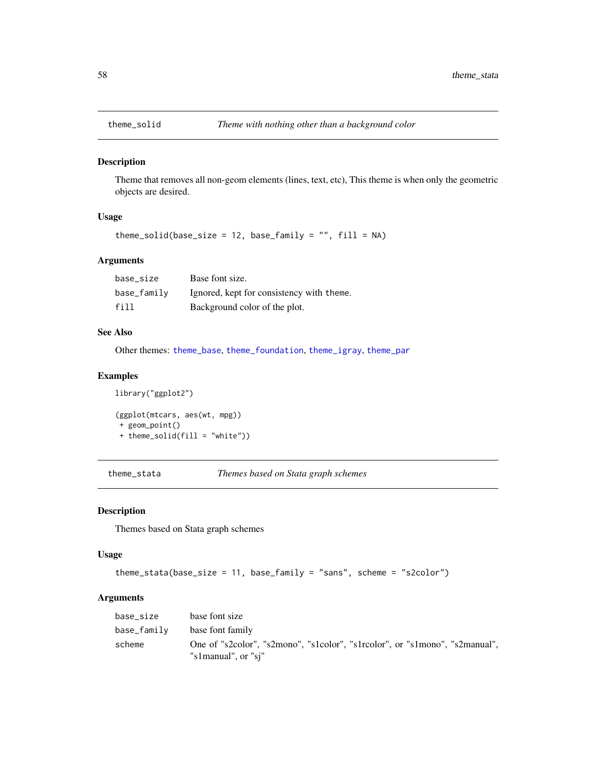<span id="page-57-1"></span><span id="page-57-0"></span>

## Description

Theme that removes all non-geom elements (lines, text, etc), This theme is when only the geometric objects are desired.

## Usage

theme\_solid(base\_size = 12, base\_family = "",  $fill = NA$ )

## Arguments

| base size   | Base font size.                           |
|-------------|-------------------------------------------|
| base_family | Ignored, kept for consistency with theme. |
| fill        | Background color of the plot.             |

## See Also

Other themes: [theme\\_base](#page-44-2), [theme\\_foundation](#page-50-2), [theme\\_igray](#page-52-1), [theme\\_par](#page-55-1)

## Examples

```
library("ggplot2")
(ggplot(mtcars, aes(wt, mpg))
 + geom_point()
 + theme_solid(fill = "white"))
```
theme\_stata *Themes based on Stata graph schemes*

#### Description

Themes based on Stata graph schemes

#### Usage

```
theme_stata(base_size = 11, base_family = "sans", scheme = "s2color")
```
#### Arguments

| base size   | base font size                                                                                     |
|-------------|----------------------------------------------------------------------------------------------------|
| base_familv | base font family                                                                                   |
| scheme      | One of "s2color", "s2mono", "s1color", "s1rcolor", or "s1mono", "s2manual",<br>"s1manual", or "si" |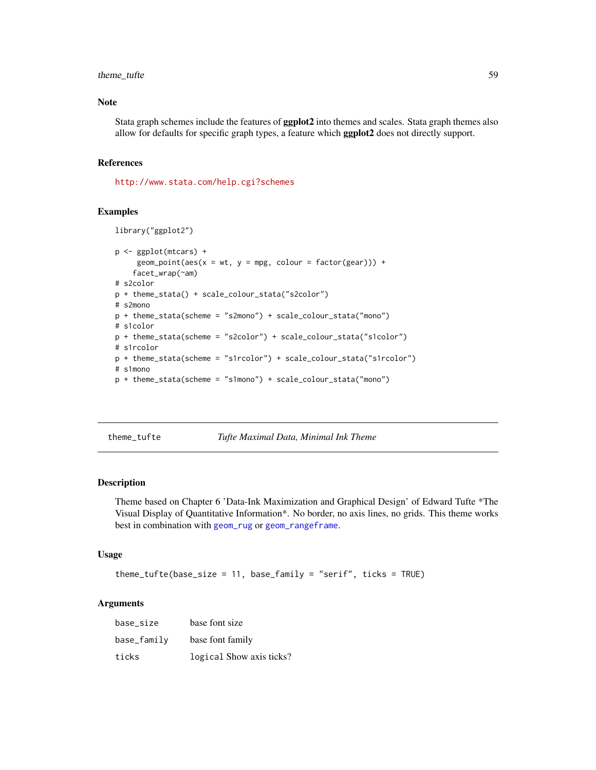## <span id="page-58-0"></span>theme\_tufte 59

## Note

Stata graph schemes include the features of ggplot2 into themes and scales. Stata graph themes also allow for defaults for specific graph types, a feature which ggplot2 does not directly support.

#### References

<http://www.stata.com/help.cgi?schemes>

#### Examples

```
library("ggplot2")
p <- ggplot(mtcars) +
     geom\_point(aes(x = wt, y = mpg, colour = factor(gear))) +facet_wrap(~am)
# s2color
p + theme_stata() + scale_colour_stata("s2color")
# s2mono
p + theme_stata(scheme = "s2mono") + scale_colour_stata("mono")
# s1color
p + theme_stata(scheme = "s2color") + scale_colour_stata("s1color")
# s1rcolor
p + theme_stata(scheme = "s1rcolor") + scale_colour_stata("s1rcolor")
# s1mono
p + theme_stata(scheme = "s1mono") + scale_colour_stata("mono")
```
theme\_tufte *Tufte Maximal Data, Minimal Ink Theme*

#### Description

Theme based on Chapter 6 'Data-Ink Maximization and Graphical Design' of Edward Tufte \*The Visual Display of Quantitative Information\*. No border, no axis lines, no grids. This theme works best in combination with [geom\\_rug](#page-0-0) or [geom\\_rangeframe](#page-15-1).

#### Usage

```
theme_tufte(base_size = 11, base_family = "serif", ticks = TRUE)
```
## Arguments

| base size   | base font size           |
|-------------|--------------------------|
| base_family | base font family         |
| ticks       | logical Show axis ticks? |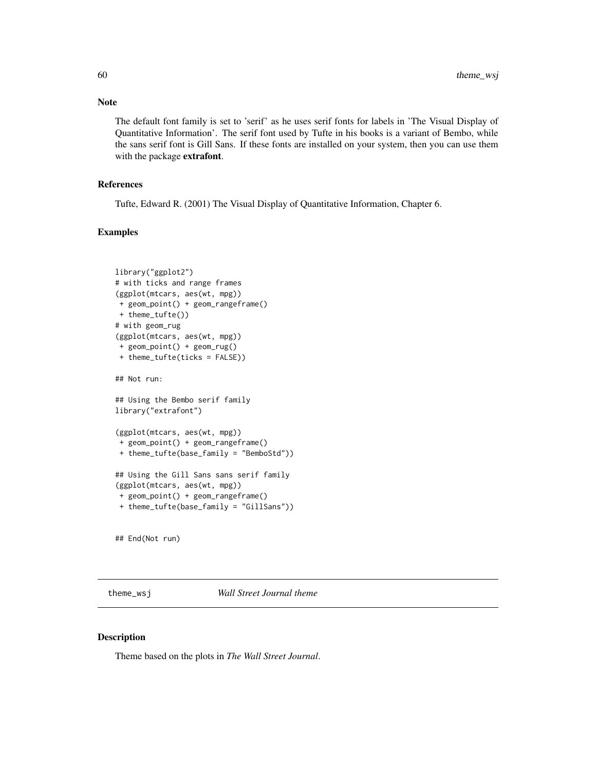The default font family is set to 'serif' as he uses serif fonts for labels in 'The Visual Display of Quantitative Information'. The serif font used by Tufte in his books is a variant of Bembo, while the sans serif font is Gill Sans. If these fonts are installed on your system, then you can use them with the package extrafont.

#### References

Tufte, Edward R. (2001) The Visual Display of Quantitative Information, Chapter 6.

#### Examples

```
library("ggplot2")
# with ticks and range frames
(ggplot(mtcars, aes(wt, mpg))
+ geom_point() + geom_rangeframe()
+ theme_tufte())
# with geom_rug
(ggplot(mtcars, aes(wt, mpg))
+ geom_point() + geom_rug()
+ theme_tufte(ticks = FALSE))
## Not run:
## Using the Bembo serif family
library("extrafont")
(ggplot(mtcars, aes(wt, mpg))
+ geom_point() + geom_rangeframe()
+ theme_tufte(base_family = "BemboStd"))
## Using the Gill Sans sans serif family
(ggplot(mtcars, aes(wt, mpg))
+ geom_point() + geom_rangeframe()
+ theme_tufte(base_family = "GillSans"))
## End(Not run)
```
<span id="page-59-1"></span>

theme\_wsj *Wall Street Journal theme*

## Description

Theme based on the plots in *The Wall Street Journal*.

<span id="page-59-0"></span>

## Note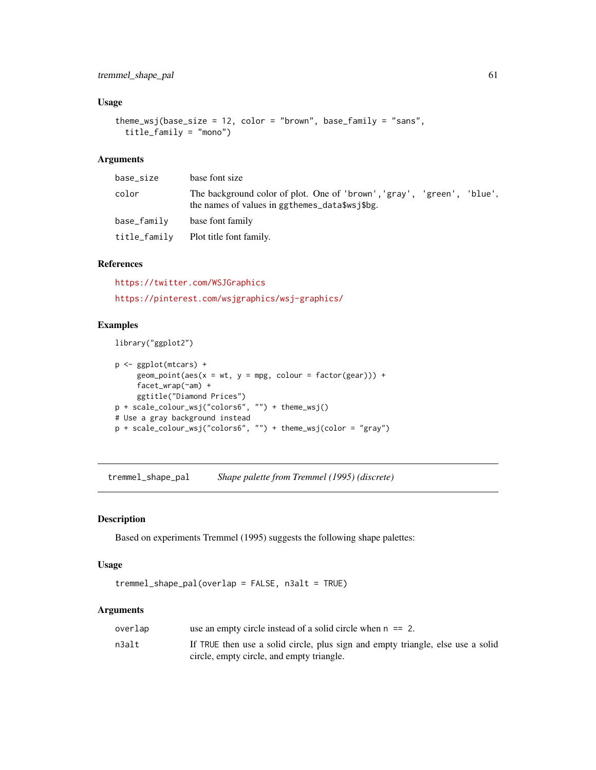## <span id="page-60-0"></span>Usage

```
theme_wsj(base_size = 12, color = "brown", base_family = "sans",
  title_family = "mono")
```
## Arguments

| base_size    | base font size                                                                                                           |
|--------------|--------------------------------------------------------------------------------------------------------------------------|
| color        | The background color of plot. One of 'brown', 'gray', 'green', 'blue',<br>the names of values in ggthemes_data\$wsj\$bg. |
| base_family  | base font family                                                                                                         |
| title_family | Plot title font family.                                                                                                  |

#### References

<https://twitter.com/WSJGraphics> <https://pinterest.com/wsjgraphics/wsj-graphics/>

## Examples

library("ggplot2")

```
p <- ggplot(mtcars) +
     geom\_point(aes(x = wt, y = mpg, colour = factor(gear))) +facet_wrap(~am) +
    ggtitle("Diamond Prices")
p + scale_colour_wsj("colors6", "") + theme_wsj()
# Use a gray background instead
p + scale_colour_wsj("colors6", "") + theme_wsj(color = "gray")
```
<span id="page-60-1"></span>tremmel\_shape\_pal *Shape palette from Tremmel (1995) (discrete)*

## Description

Based on experiments Tremmel (1995) suggests the following shape palettes:

## Usage

tremmel\_shape\_pal(overlap = FALSE, n3alt = TRUE)

#### Arguments

| overlap | use an empty circle instead of a solid circle when $n == 2$ .                                                                |
|---------|------------------------------------------------------------------------------------------------------------------------------|
| n3alt   | If TRUE then use a solid circle, plus sign and empty triangle, else use a solid<br>circle, empty circle, and empty triangle. |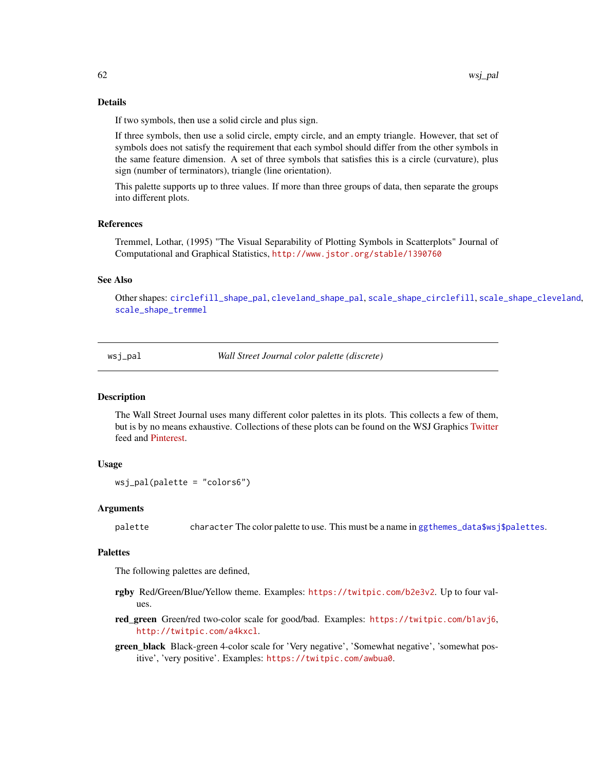#### Details

If two symbols, then use a solid circle and plus sign.

If three symbols, then use a solid circle, empty circle, and an empty triangle. However, that set of symbols does not satisfy the requirement that each symbol should differ from the other symbols in the same feature dimension. A set of three symbols that satisfies this is a circle (curvature), plus sign (number of terminators), triangle (line orientation).

This palette supports up to three values. If more than three groups of data, then separate the groups into different plots.

## References

Tremmel, Lothar, (1995) "The Visual Separability of Plotting Symbols in Scatterplots" Journal of Computational and Graphical Statistics, <http://www.jstor.org/stable/1390760>

#### See Also

Other shapes: [circlefill\\_shape\\_pal](#page-7-1), [cleveland\\_shape\\_pal](#page-8-1), [scale\\_shape\\_circlefill](#page-33-1), [scale\\_shape\\_cleveland](#page-33-2), [scale\\_shape\\_tremmel](#page-35-1)

<span id="page-61-1"></span>wsj\_pal *Wall Street Journal color palette (discrete)*

## **Description**

The Wall Street Journal uses many different color palettes in its plots. This collects a few of them, but is by no means exhaustive. Collections of these plots can be found on the WSJ Graphics [Twitter](https://twitter.com/WSJGraphics) feed and [Pinterest.](https://pinterest.com/wsjgraphics/wsj-graphics/)

#### Usage

```
wsj_pal(palette = "colors6")
```
#### Arguments

palette character The color palette to use. This must be a name in [ggthemes\\_data\\$wsj\\$palettes](#page-18-1).

#### **Palettes**

The following palettes are defined,

- rgby Red/Green/Blue/Yellow theme. Examples: <https://twitpic.com/b2e3v2>. Up to four values.
- red\_green Green/red two-color scale for good/bad. Examples: <https://twitpic.com/b1avj6>, <http://twitpic.com/a4kxcl>.
- green\_black Black-green 4-color scale for 'Very negative', 'Somewhat negative', 'somewhat positive', 'very positive'. Examples: <https://twitpic.com/awbua0>.

<span id="page-61-0"></span>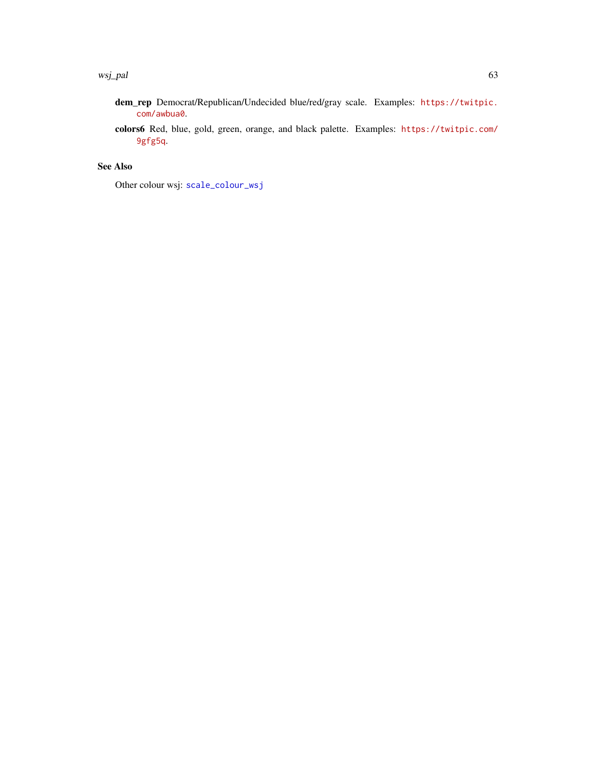- <span id="page-62-0"></span>dem\_rep Democrat/Republican/Undecided blue/red/gray scale. Examples: [https://twitpic.](https://twitpic.com/awbua0) [com/awbua0](https://twitpic.com/awbua0).
- colors6 Red, blue, gold, green, orange, and black palette. Examples: [https://twitpic.com/](https://twitpic.com/9gfg5q) [9gfg5q](https://twitpic.com/9gfg5q).

## See Also

Other colour wsj: [scale\\_colour\\_wsj](#page-29-2)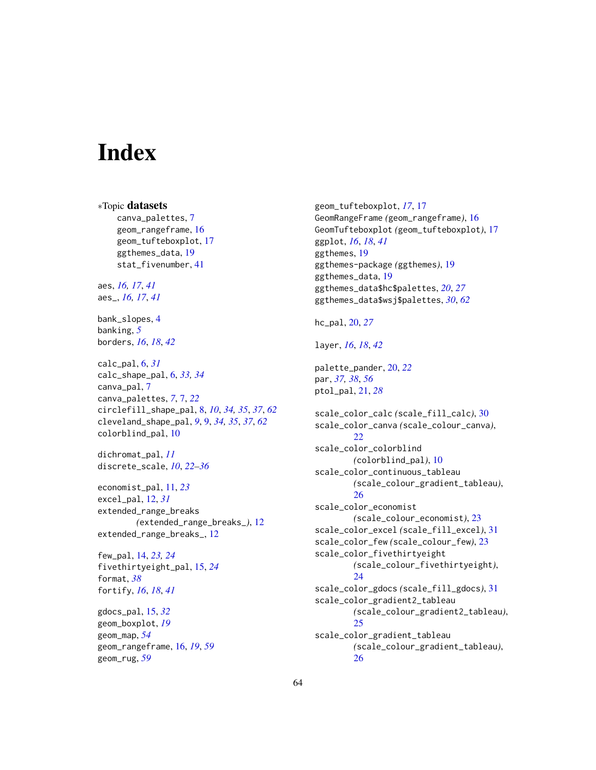# <span id="page-63-0"></span>**Index**

∗Topic datasets canva\_palettes, [7](#page-6-0) geom\_rangeframe, [16](#page-15-0) geom\_tufteboxplot, [17](#page-16-0) ggthemes\_data, [19](#page-18-0) stat\_fivenumber, [41](#page-40-0) aes, *[16,](#page-15-0) [17](#page-16-0)*, *[41](#page-40-0)* aes\_, *[16,](#page-15-0) [17](#page-16-0)*, *[41](#page-40-0)* bank\_slopes, [4](#page-3-0) banking, *[5](#page-4-0)* borders, *[16](#page-15-0)*, *[18](#page-17-0)*, *[42](#page-41-0)* calc\_pal, [6,](#page-5-0) *[31](#page-30-0)* calc\_shape\_pal, [6,](#page-5-0) *[33,](#page-32-0) [34](#page-33-0)* canva\_pal, [7](#page-6-0) canva\_palettes, *[7](#page-6-0)*, [7,](#page-6-0) *[22](#page-21-0)* circlefill\_shape\_pal, [8,](#page-7-0) *[10](#page-9-0)*, *[34,](#page-33-0) [35](#page-34-0)*, *[37](#page-36-0)*, *[62](#page-61-0)* cleveland\_shape\_pal, *[9](#page-8-0)*, [9,](#page-8-0) *[34,](#page-33-0) [35](#page-34-0)*, *[37](#page-36-0)*, *[62](#page-61-0)* colorblind\_pal, [10](#page-9-0) dichromat\_pal, *[11](#page-10-0)* discrete\_scale, *[10](#page-9-0)*, *[22–](#page-21-0)[36](#page-35-0)* economist\_pal, [11,](#page-10-0) *[23](#page-22-0)* excel\_pal, [12,](#page-11-0) *[31](#page-30-0)* extended\_range\_breaks *(*extended\_range\_breaks\_*)*, [12](#page-11-0) extended\_range\_breaks\_, [12](#page-11-0) few\_pal, [14,](#page-13-0) *[23,](#page-22-0) [24](#page-23-0)* fivethirtyeight\_pal, [15,](#page-14-0) *[24](#page-23-0)* format, *[38](#page-37-0)* fortify, *[16](#page-15-0)*, *[18](#page-17-0)*, *[41](#page-40-0)* gdocs\_pal, [15,](#page-14-0) *[32](#page-31-0)* geom\_boxplot, *[19](#page-18-0)* geom\_map, *[54](#page-53-0)* geom\_rangeframe, [16,](#page-15-0) *[19](#page-18-0)*, *[59](#page-58-0)*

geom\_rug, *[59](#page-58-0)*

geom\_tufteboxplot, *[17](#page-16-0)*, [17](#page-16-0) GeomRangeFrame *(*geom\_rangeframe*)*, [16](#page-15-0) GeomTufteboxplot *(*geom\_tufteboxplot*)*, [17](#page-16-0) ggplot, *[16](#page-15-0)*, *[18](#page-17-0)*, *[41](#page-40-0)* ggthemes, [19](#page-18-0) ggthemes-package *(*ggthemes*)*, [19](#page-18-0) ggthemes\_data, [19](#page-18-0) ggthemes\_data\$hc\$palettes, *[20](#page-19-0)*, *[27](#page-26-0)* ggthemes\_data\$wsj\$palettes, *[30](#page-29-0)*, *[62](#page-61-0)* hc\_pal, [20,](#page-19-0) *[27](#page-26-0)* layer, *[16](#page-15-0)*, *[18](#page-17-0)*, *[42](#page-41-0)* palette\_pander, [20,](#page-19-0) *[22](#page-21-0)* par, *[37,](#page-36-0) [38](#page-37-0)*, *[56](#page-55-0)* ptol\_pal, [21,](#page-20-0) *[28](#page-27-0)* scale\_color\_calc *(*scale\_fill\_calc*)*, [30](#page-29-0) scale\_color\_canva *(*scale\_colour\_canva*)*,  $22$ scale\_color\_colorblind *(*colorblind\_pal*)*, [10](#page-9-0) scale\_color\_continuous\_tableau *(*scale\_colour\_gradient\_tableau*)*, [26](#page-25-0) scale\_color\_economist *(*scale\_colour\_economist*)*, [23](#page-22-0) scale\_color\_excel *(*scale\_fill\_excel*)*, [31](#page-30-0) scale\_color\_few *(*scale\_colour\_few*)*, [23](#page-22-0) scale\_color\_fivethirtyeight *(*scale\_colour\_fivethirtyeight*)*, [24](#page-23-0) scale\_color\_gdocs *(*scale\_fill\_gdocs*)*, [31](#page-30-0) scale\_color\_gradient2\_tableau *(*scale\_colour\_gradient2\_tableau*)*, [25](#page-24-0) scale\_color\_gradient\_tableau *(*scale\_colour\_gradient\_tableau*)*, [26](#page-25-0)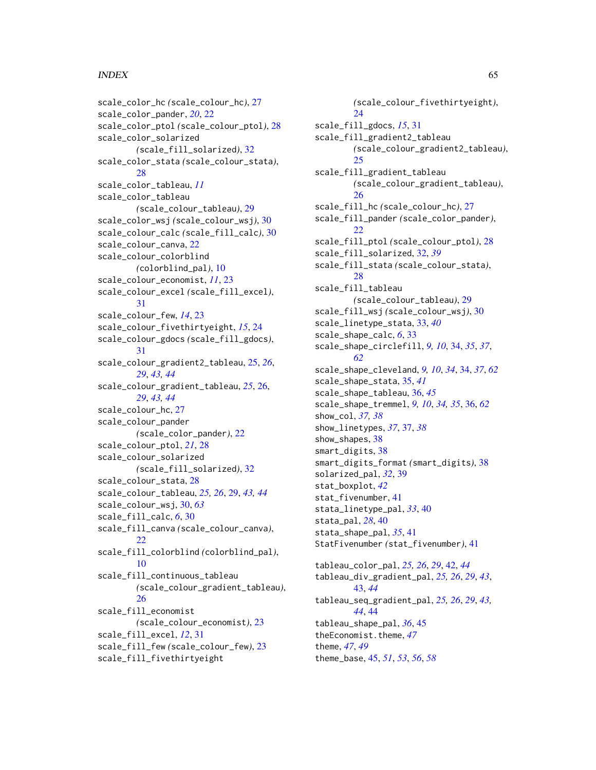## $I<sub>N</sub>$  and  $I<sub>S</sub>$  and  $I<sub>S</sub>$  and  $I<sub>S</sub>$  and  $I<sub>S</sub>$  and  $I<sub>S</sub>$  and  $I<sub>S</sub>$  and  $I<sub>S</sub>$  and  $I<sub>S</sub>$  and  $I<sub>S</sub>$  and  $I<sub>S</sub>$  and  $I<sub>S</sub>$  and  $I<sub>S</sub>$  and  $I<sub>S</sub>$  and  $I<sub>S</sub>$  and  $I<sub>S</sub>$  a

scale\_color\_hc *(*scale\_colour\_hc*)*, [27](#page-26-0) scale\_color\_pander, *[20](#page-19-0)*, [22](#page-21-0) scale\_color\_ptol *(*scale\_colour\_ptol*)*, [28](#page-27-0) scale\_color\_solarized *(*scale\_fill\_solarized*)*, [32](#page-31-0) scale\_color\_stata *(*scale\_colour\_stata*)*, [28](#page-27-0) scale\_color\_tableau, *[11](#page-10-0)* scale\_color\_tableau *(*scale\_colour\_tableau*)*, [29](#page-28-0) scale\_color\_wsj *(*scale\_colour\_wsj*)*, [30](#page-29-0) scale\_colour\_calc *(*scale\_fill\_calc*)*, [30](#page-29-0) scale\_colour\_canva, [22](#page-21-0) scale\_colour\_colorblind *(*colorblind\_pal*)*, [10](#page-9-0) scale\_colour\_economist, *[11](#page-10-0)*, [23](#page-22-0) scale\_colour\_excel *(*scale\_fill\_excel*)*, [31](#page-30-0) scale\_colour\_few, *[14](#page-13-0)*, [23](#page-22-0) scale\_colour\_fivethirtyeight, *[15](#page-14-0)*, [24](#page-23-0) scale\_colour\_gdocs *(*scale\_fill\_gdocs*)*, [31](#page-30-0) scale\_colour\_gradient2\_tableau, [25,](#page-24-0) *[26](#page-25-0)*, *[29](#page-28-0)*, *[43,](#page-42-0) [44](#page-43-0)* scale\_colour\_gradient\_tableau, *[25](#page-24-0)*, [26,](#page-25-0) *[29](#page-28-0)*, *[43,](#page-42-0) [44](#page-43-0)* scale\_colour\_hc, [27](#page-26-0) scale\_colour\_pander *(*scale\_color\_pander*)*, [22](#page-21-0) scale\_colour\_ptol, *[21](#page-20-0)*, [28](#page-27-0) scale\_colour\_solarized *(*scale\_fill\_solarized*)*, [32](#page-31-0) scale\_colour\_stata, [28](#page-27-0) scale\_colour\_tableau, *[25,](#page-24-0) [26](#page-25-0)*, [29,](#page-28-0) *[43,](#page-42-0) [44](#page-43-0)* scale\_colour\_wsj, [30,](#page-29-0) *[63](#page-62-0)* scale\_fill\_calc, *[6](#page-5-0)*, [30](#page-29-0) scale\_fill\_canva *(*scale\_colour\_canva*)*, [22](#page-21-0) scale\_fill\_colorblind *(*colorblind\_pal*)*, [10](#page-9-0) scale\_fill\_continuous\_tableau *(*scale\_colour\_gradient\_tableau*)*, [26](#page-25-0) scale\_fill\_economist *(*scale\_colour\_economist*)*, [23](#page-22-0) scale\_fill\_excel, *[12](#page-11-0)*, [31](#page-30-0) scale\_fill\_few *(*scale\_colour\_few*)*, [23](#page-22-0) scale\_fill\_fivethirtyeight

*(*scale\_colour\_fivethirtyeight*)*, [24](#page-23-0) scale\_fill\_gdocs, *[15](#page-14-0)*, [31](#page-30-0) scale\_fill\_gradient2\_tableau *(*scale\_colour\_gradient2\_tableau*)*,  $25$ scale\_fill\_gradient\_tableau *(*scale\_colour\_gradient\_tableau*)*, [26](#page-25-0) scale\_fill\_hc *(*scale\_colour\_hc*)*, [27](#page-26-0) scale\_fill\_pander *(*scale\_color\_pander*)*, [22](#page-21-0) scale\_fill\_ptol *(*scale\_colour\_ptol*)*, [28](#page-27-0) scale\_fill\_solarized, [32,](#page-31-0) *[39](#page-38-0)* scale\_fill\_stata *(*scale\_colour\_stata*)*, [28](#page-27-0) scale\_fill\_tableau *(*scale\_colour\_tableau*)*, [29](#page-28-0) scale\_fill\_wsj *(*scale\_colour\_wsj*)*, [30](#page-29-0) scale\_linetype\_stata, [33,](#page-32-0) *[40](#page-39-0)* scale\_shape\_calc, *[6](#page-5-0)*, [33](#page-32-0) scale\_shape\_circlefill, *[9,](#page-8-0) [10](#page-9-0)*, [34,](#page-33-0) *[35](#page-34-0)*, *[37](#page-36-0)*, *[62](#page-61-0)* scale\_shape\_cleveland, *[9,](#page-8-0) [10](#page-9-0)*, *[34](#page-33-0)*, [34,](#page-33-0) *[37](#page-36-0)*, *[62](#page-61-0)* scale\_shape\_stata, [35,](#page-34-0) *[41](#page-40-0)* scale\_shape\_tableau, [36,](#page-35-0) *[45](#page-44-0)* scale\_shape\_tremmel, *[9,](#page-8-0) [10](#page-9-0)*, *[34,](#page-33-0) [35](#page-34-0)*, [36,](#page-35-0) *[62](#page-61-0)* show\_col, *[37,](#page-36-0) [38](#page-37-0)* show\_linetypes, *[37](#page-36-0)*, [37,](#page-36-0) *[38](#page-37-0)* show\_shapes, [38](#page-37-0) smart\_digits, [38](#page-37-0) smart\_digits\_format *(*smart\_digits*)*, [38](#page-37-0) solarized\_pal, *[32](#page-31-0)*, [39](#page-38-0) stat\_boxplot, *[42](#page-41-0)* stat\_fivenumber, [41](#page-40-0) stata\_linetype\_pal, *[33](#page-32-0)*, [40](#page-39-0) stata\_pal, *[28](#page-27-0)*, [40](#page-39-0) stata\_shape\_pal, *[35](#page-34-0)*, [41](#page-40-0) StatFivenumber *(*stat\_fivenumber*)*, [41](#page-40-0) tableau\_color\_pal, *[25,](#page-24-0) [26](#page-25-0)*, *[29](#page-28-0)*, [42,](#page-41-0) *[44](#page-43-0)* tableau\_div\_gradient\_pal, *[25,](#page-24-0) [26](#page-25-0)*, *[29](#page-28-0)*, *[43](#page-42-0)*, [43,](#page-42-0) *[44](#page-43-0)* tableau\_seq\_gradient\_pal, *[25,](#page-24-0) [26](#page-25-0)*, *[29](#page-28-0)*, *[43,](#page-42-0) [44](#page-43-0)*, [44](#page-43-0) tableau\_shape\_pal, *[36](#page-35-0)*, [45](#page-44-0) theEconomist.theme, [47](#page-46-0) theme, *[47](#page-46-0)*, *[49](#page-48-0)* theme\_base, [45,](#page-44-0) *[51](#page-50-0)*, *[53](#page-52-0)*, *[56](#page-55-0)*, *[58](#page-57-0)*